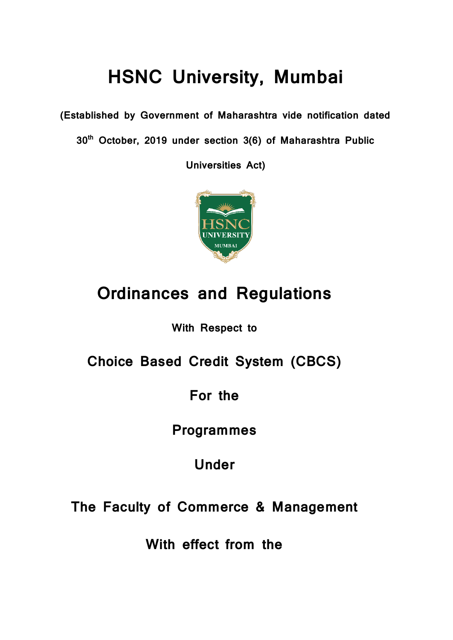## **HSNC University, Mumbai**

**(Established by Government of Maharashtra vide notification dated** 

**30th October, 2019 under section 3(6) of Maharashtra Public** 

**Universities Act)**



## **Ordinances and Regulations**

**With Respect to**

**Choice Based Credit System (CBCS)**

**For the** 

**Programmes** 

**Under**

**The Faculty of Commerce & Management**

**With effect from the**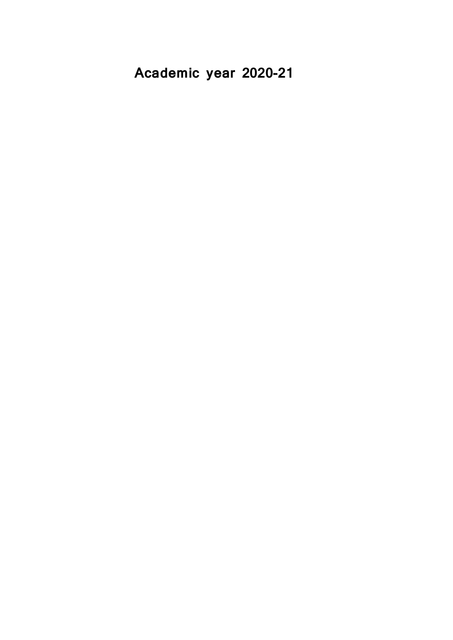**Academic year 2020-21**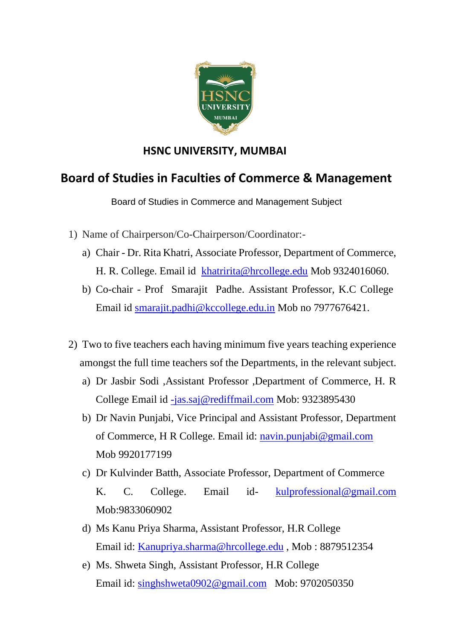

### **HSNC UNIVERSITY, MUMBAI**

### **Board of Studies in Faculties of Commerce & Management**

Board of Studies in Commerce and Management Subject

- 1) Name of Chairperson/Co-Chairperson/Coordinator:
	- a) Chair Dr. Rita Khatri, Associate Professor, Department of Commerce, H. R. College. Email id [khatririta@hrcollege.edu](mailto:khatririta@hrcollege.edu) Mob 9324016060.
	- b) Co-chair Prof Smarajit Padhe. Assistant Professor, K.C College Email id [smarajit.padhi@kccollege.edu.in](mailto:smarajit.padhi@kccollege.edu.in) Mob no 7977676421.
- 2) Two to five teachers each having minimum five years teaching experience amongst the full time teachers sof the Departments, in the relevant subject.
	- a) Dr Jasbir Sodi ,Assistant Professor ,Department of Commerce, H. R College Email id [-jas.saj@rediffmail.com](mailto:-jas.saj@rediffmail.com) Mob: 9323895430
	- b) Dr Navin Punjabi, Vice Principal and Assistant Professor, Department of Commerce, H R College. Email id: [navin.punjabi@gmail.com](mailto:navin.punjabi@gmail.com) Mob 9920177199
	- c) Dr Kulvinder Batth, Associate Professor, Department of Commerce K. C. College. Email id- [kulprofessional@gmail.com](mailto:kulprofessional@gmail.com) Mob:9833060902
	- d) Ms Kanu Priya Sharma, Assistant Professor, H.R College Email id: [Kanupriya.sharma@hrcollege.edu](mailto:Kanupriya.sharma@hrcollege.edu) , Mob : 8879512354
	- e) Ms. Shweta Singh, Assistant Professor, H.R College Email id: [singhshweta0902@gmail.com](mailto:singhshweta0902@gmail.com) Mob: 9702050350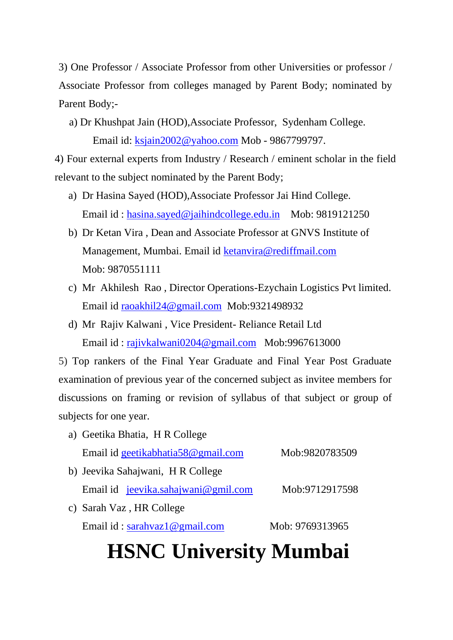3) One Professor / Associate Professor from other Universities or professor / Associate Professor from colleges managed by Parent Body; nominated by Parent Body;-

 a) Dr Khushpat Jain (HOD),Associate Professor, Sydenham College. Email id: [ksjain2002@yahoo.com](mailto:ksjain2002@yahoo.com) Mob - 9867799797.

4) Four external experts from Industry / Research / eminent scholar in the field relevant to the subject nominated by the Parent Body;

- a) Dr Hasina Sayed (HOD),Associate Professor Jai Hind College. Email id : [hasina.sayed@jaihindcollege.edu.in](mailto:hasina.sayed@jaihindcollege.edu.in) Mob: 9819121250
- b) Dr Ketan Vira , Dean and Associate Professor at GNVS Institute of Management, Mumbai. Email id [ketanvira@rediffmail.com](mailto:ketanvira@rediffmail.com)  Mob: 9870551111
- c) Mr Akhilesh Rao , Director Operations-Ezychain Logistics Pvt limited. Email id [raoakhil24@gmail.com](mailto:raoakhil24@gmail.com) Mob:9321498932
- d) Mr Rajiv Kalwani , Vice President- Reliance Retail Ltd Email id : [rajivkalwani0204@gmail.com](mailto:rajivkalwani0204@gmail.com) Mob:9967613000

5) Top rankers of the Final Year Graduate and Final Year Post Graduate examination of previous year of the concerned subject as invitee members for discussions on framing or revision of syllabus of that subject or group of subjects for one year.

| a) Geetika Bhatia, H R College      |                 |
|-------------------------------------|-----------------|
| Email id geetikabhatia58@gmail.com  | Mob:9820783509  |
| b) Jeevika Sahajwani, H R College   |                 |
| Email id jeevika.sahajwani@gmil.com | Mob:9712917598  |
| c) Sarah Vaz, HR College            |                 |
| Email id: sarahyaz1@gmail.com       | Mob: 9769313965 |
|                                     |                 |

# **HSNC University Mumbai**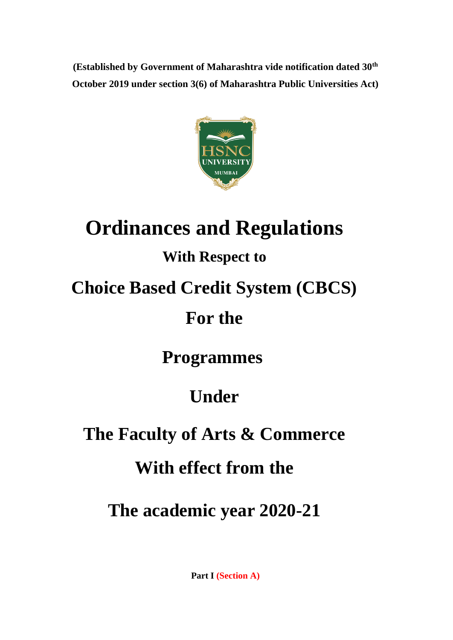**(Established by Government of Maharashtra vide notification dated 30th October 2019 under section 3(6) of Maharashtra Public Universities Act)**



# **Ordinances and Regulations**

## **With Respect to**

## **Choice Based Credit System (CBCS)**

## **For the**

## **Programmes**

## **Under**

## **The Faculty of Arts & Commerce**

## **With effect from the**

**The academic year 2020-21**

**Part I (Section A)**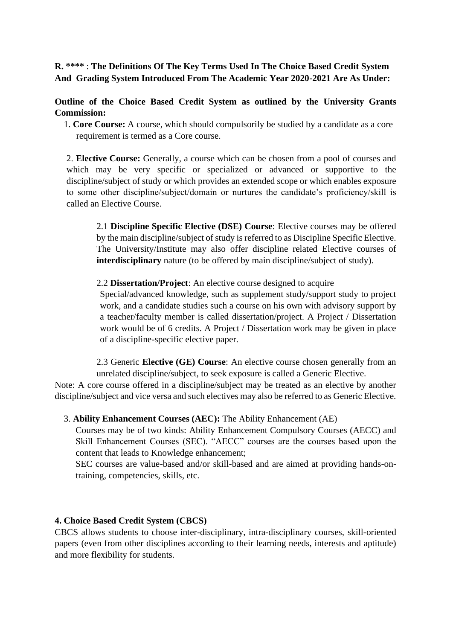#### **R. \*\*\*\*** : **The Definitions Of The Key Terms Used In The Choice Based Credit System And Grading System Introduced From The Academic Year 2020-2021 Are As Under:**

**Outline of the Choice Based Credit System as outlined by the University Grants Commission:**

 1. **Core Course:** A course, which should compulsorily be studied by a candidate as a core requirement is termed as a Core course.

2. **Elective Course:** Generally, a course which can be chosen from a pool of courses and which may be very specific or specialized or advanced or supportive to the discipline/subject of study or which provides an extended scope or which enables exposure to some other discipline/subject/domain or nurtures the candidate's proficiency/skill is called an Elective Course.

2.1 **Discipline Specific Elective (DSE) Course**: Elective courses may be offered by the main discipline/subject of study is referred to as Discipline Specific Elective. The University/Institute may also offer discipline related Elective courses of **interdisciplinary** nature (to be offered by main discipline/subject of study).

#### 2.2 **Dissertation/Project**: An elective course designed to acquire

Special/advanced knowledge, such as supplement study/support study to project work, and a candidate studies such a course on his own with advisory support by a teacher/faculty member is called dissertation/project. A Project / Dissertation work would be of 6 credits. A Project / Dissertation work may be given in place of a discipline-specific elective paper.

2.3 Generic **Elective (GE) Course**: An elective course chosen generally from an unrelated discipline/subject, to seek exposure is called a Generic Elective.

Note: A core course offered in a discipline/subject may be treated as an elective by another discipline/subject and vice versa and such electives may also be referred to as Generic Elective.

#### 3. **Ability Enhancement Courses (AEC):** The Ability Enhancement (AE)

Courses may be of two kinds: Ability Enhancement Compulsory Courses (AECC) and Skill Enhancement Courses (SEC). "AECC" courses are the courses based upon the content that leads to Knowledge enhancement;

SEC courses are value-based and/or skill-based and are aimed at providing hands-ontraining, competencies, skills, etc.

#### **4. Choice Based Credit System (CBCS)**

CBCS allows students to choose inter-disciplinary, intra-disciplinary courses, skill-oriented papers (even from other disciplines according to their learning needs, interests and aptitude) and more flexibility for students.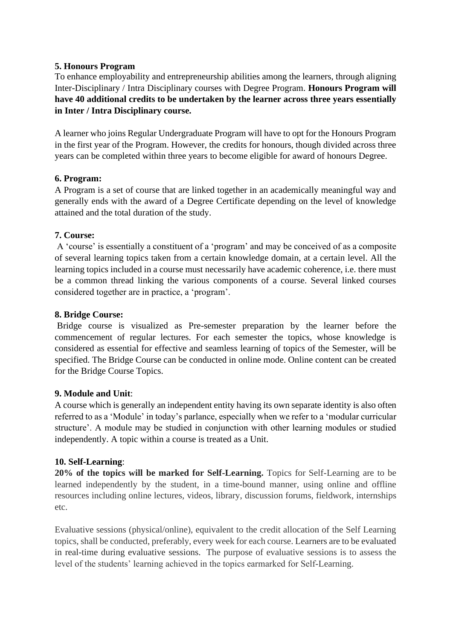#### **5. Honours Program**

To enhance employability and entrepreneurship abilities among the learners, through aligning Inter-Disciplinary / Intra Disciplinary courses with Degree Program. **Honours Program will have 40 additional credits to be undertaken by the learner across three years essentially in Inter / Intra Disciplinary course.**

A learner who joins Regular Undergraduate Program will have to opt for the Honours Program in the first year of the Program. However, the credits for honours, though divided across three years can be completed within three years to become eligible for award of honours Degree.

#### **6. Program:**

A Program is a set of course that are linked together in an academically meaningful way and generally ends with the award of a Degree Certificate depending on the level of knowledge attained and the total duration of the study.

#### **7. Course:**

A 'course' is essentially a constituent of a 'program' and may be conceived of as a composite of several learning topics taken from a certain knowledge domain, at a certain level. All the learning topics included in a course must necessarily have academic coherence, i.e. there must be a common thread linking the various components of a course. Several linked courses considered together are in practice, a 'program'.

#### **8. Bridge Course:**

Bridge course is visualized as Pre-semester preparation by the learner before the commencement of regular lectures. For each semester the topics, whose knowledge is considered as essential for effective and seamless learning of topics of the Semester, will be specified. The Bridge Course can be conducted in online mode. Online content can be created for the Bridge Course Topics.

#### **9. Module and Unit**:

A course which is generally an independent entity having its own separate identity is also often referred to as a 'Module' in today's parlance, especially when we refer to a 'modular curricular structure'. A module may be studied in conjunction with other learning modules or studied independently. A topic within a course is treated as a Unit.

#### **10. Self-Learning**:

**20% of the topics will be marked for Self-Learning.** Topics for Self-Learning are to be learned independently by the student, in a time-bound manner, using online and offline resources including online lectures, videos, library, discussion forums, fieldwork, internships etc.

Evaluative sessions (physical/online), equivalent to the credit allocation of the Self Learning topics, shall be conducted, preferably, every week for each course. Learners are to be evaluated in real-time during evaluative sessions. The purpose of evaluative sessions is to assess the level of the students' learning achieved in the topics earmarked for Self-Learning.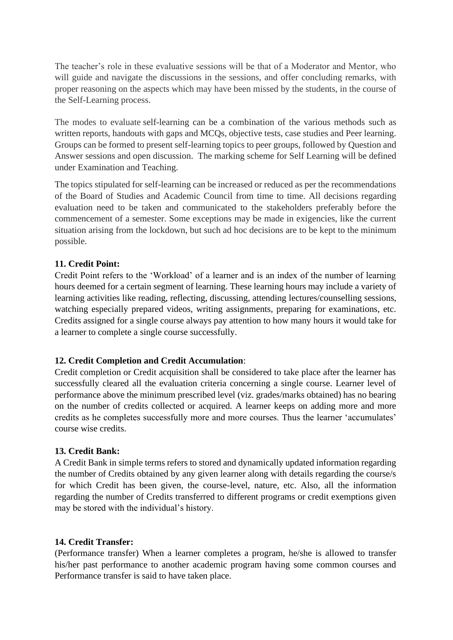The teacher's role in these evaluative sessions will be that of a Moderator and Mentor, who will guide and navigate the discussions in the sessions, and offer concluding remarks, with proper reasoning on the aspects which may have been missed by the students, in the course of the Self-Learning process.

The modes to evaluate self-learning can be a combination of the various methods such as written reports, handouts with gaps and MCQs, objective tests, case studies and Peer learning. Groups can be formed to present self-learning topics to peer groups, followed by Question and Answer sessions and open discussion. The marking scheme for Self Learning will be defined under Examination and Teaching.

The topics stipulated for self-learning can be increased or reduced as per the recommendations of the Board of Studies and Academic Council from time to time. All decisions regarding evaluation need to be taken and communicated to the stakeholders preferably before the commencement of a semester. Some exceptions may be made in exigencies, like the current situation arising from the lockdown, but such ad hoc decisions are to be kept to the minimum possible.

#### **11. Credit Point:**

Credit Point refers to the 'Workload' of a learner and is an index of the number of learning hours deemed for a certain segment of learning. These learning hours may include a variety of learning activities like reading, reflecting, discussing, attending lectures/counselling sessions, watching especially prepared videos, writing assignments, preparing for examinations, etc. Credits assigned for a single course always pay attention to how many hours it would take for a learner to complete a single course successfully.

#### **12. Credit Completion and Credit Accumulation**:

Credit completion or Credit acquisition shall be considered to take place after the learner has successfully cleared all the evaluation criteria concerning a single course. Learner level of performance above the minimum prescribed level (viz. grades/marks obtained) has no bearing on the number of credits collected or acquired. A learner keeps on adding more and more credits as he completes successfully more and more courses. Thus the learner 'accumulates' course wise credits.

#### **13. Credit Bank:**

A Credit Bank in simple terms refers to stored and dynamically updated information regarding the number of Credits obtained by any given learner along with details regarding the course/s for which Credit has been given, the course-level, nature, etc. Also, all the information regarding the number of Credits transferred to different programs or credit exemptions given may be stored with the individual's history.

#### **14. Credit Transfer:**

(Performance transfer) When a learner completes a program, he/she is allowed to transfer his/her past performance to another academic program having some common courses and Performance transfer is said to have taken place.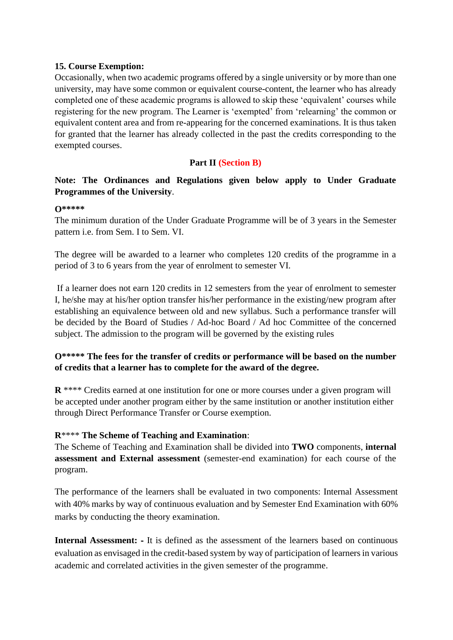#### **15. Course Exemption:**

Occasionally, when two academic programs offered by a single university or by more than one university, may have some common or equivalent course-content, the learner who has already completed one of these academic programs is allowed to skip these 'equivalent' courses while registering for the new program. The Learner is 'exempted' from 'relearning' the common or equivalent content area and from re-appearing for the concerned examinations. It is thus taken for granted that the learner has already collected in the past the credits corresponding to the exempted courses.

#### **Part II (Section B)**

#### **Note: The Ordinances and Regulations given below apply to Under Graduate Programmes of the University**.

#### **O\*\*\*\*\***

The minimum duration of the Under Graduate Programme will be of 3 years in the Semester pattern i.e. from Sem. I to Sem. VI.

The degree will be awarded to a learner who completes 120 credits of the programme in a period of 3 to 6 years from the year of enrolment to semester VI.

If a learner does not earn 120 credits in 12 semesters from the year of enrolment to semester I, he/she may at his/her option transfer his/her performance in the existing/new program after establishing an equivalence between old and new syllabus. Such a performance transfer will be decided by the Board of Studies / Ad-hoc Board / Ad hoc Committee of the concerned subject. The admission to the program will be governed by the existing rules

#### **O\*\*\*\*\* The fees for the transfer of credits or performance will be based on the number of credits that a learner has to complete for the award of the degree.**

**R** \*\*\*\* Credits earned at one institution for one or more courses under a given program will be accepted under another program either by the same institution or another institution either through Direct Performance Transfer or Course exemption.

#### **R**\*\*\*\* **The Scheme of Teaching and Examination**:

The Scheme of Teaching and Examination shall be divided into **TWO** components, **internal assessment and External assessment** (semester-end examination) for each course of the program.

The performance of the learners shall be evaluated in two components: Internal Assessment with 40% marks by way of continuous evaluation and by Semester End Examination with 60% marks by conducting the theory examination.

**Internal Assessment:** - It is defined as the assessment of the learners based on continuous evaluation as envisaged in the credit-based system by way of participation of learners in various academic and correlated activities in the given semester of the programme.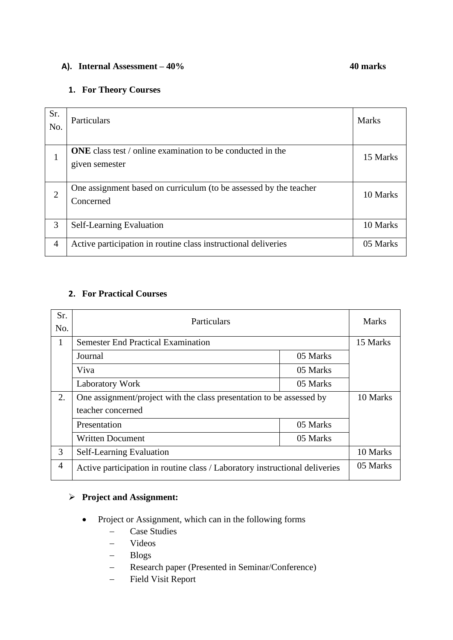#### **A). Internal Assessment – 40% 40 marks**

#### **1. For Theory Courses**

| Sr.<br>No.     | Particulars                                                       | <b>Marks</b> |
|----------------|-------------------------------------------------------------------|--------------|
|                | <b>ONE</b> class test / online examination to be conducted in the |              |
| 1              | given semester                                                    | 15 Marks     |
|                | One assignment based on curriculum (to be assessed by the teacher |              |
| $\overline{2}$ | Concerned                                                         | 10 Marks     |
| 3              | Self-Learning Evaluation                                          | 10 Marks     |
| $\overline{4}$ | Active participation in routine class instructional deliveries    | 05 Marks     |

#### **2. For Practical Courses**

| Sr.<br>No.     | Particulars                                                                 |          | <b>Marks</b> |
|----------------|-----------------------------------------------------------------------------|----------|--------------|
| 1              | <b>Semester End Practical Examination</b>                                   |          | 15 Marks     |
|                | Journal                                                                     | 05 Marks |              |
|                | Viva                                                                        | 05 Marks |              |
|                | <b>Laboratory Work</b>                                                      | 05 Marks |              |
| 2.             | One assignment/project with the class presentation to be assessed by        |          | 10 Marks     |
|                | teacher concerned                                                           |          |              |
|                | Presentation                                                                | 05 Marks |              |
|                | <b>Written Document</b>                                                     | 05 Marks |              |
| 3              | Self-Learning Evaluation                                                    |          | 10 Marks     |
| $\overline{4}$ | Active participation in routine class / Laboratory instructional deliveries |          | 05 Marks     |

#### ➢ **Project and Assignment:**

- Project or Assignment, which can in the following forms
	- − Case Studies
	- − Videos
	- − Blogs
	- − Research paper (Presented in Seminar/Conference)
	- − Field Visit Report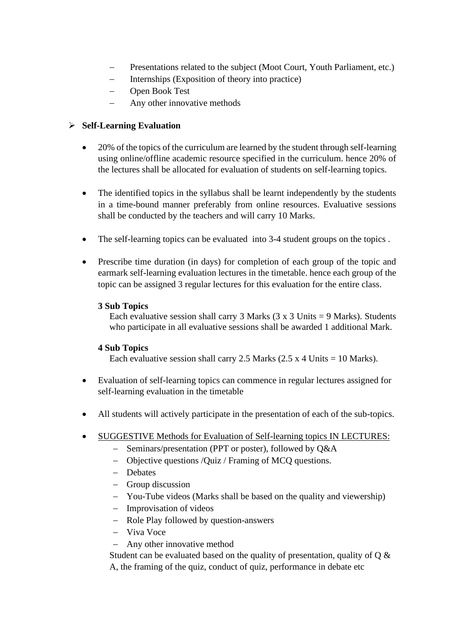- Presentations related to the subject (Moot Court, Youth Parliament, etc.)
- − Internships (Exposition of theory into practice)
- − Open Book Test
- Any other innovative methods

#### ➢ **Self-Learning Evaluation**

- 20% of the topics of the curriculum are learned by the student through self-learning using online/offline academic resource specified in the curriculum. hence 20% of the lectures shall be allocated for evaluation of students on self-learning topics.
- The identified topics in the syllabus shall be learnt independently by the students in a time-bound manner preferably from online resources. Evaluative sessions shall be conducted by the teachers and will carry 10 Marks.
- The self-learning topics can be evaluated into 3-4 student groups on the topics.
- Prescribe time duration (in days) for completion of each group of the topic and earmark self-learning evaluation lectures in the timetable. hence each group of the topic can be assigned 3 regular lectures for this evaluation for the entire class.

#### **3 Sub Topics**

Each evaluative session shall carry 3 Marks  $(3 \times 3 \text{ Units} = 9 \text{ Marks})$ . Students who participate in all evaluative sessions shall be awarded 1 additional Mark.

#### **4 Sub Topics**

Each evaluative session shall carry 2.5 Marks  $(2.5 \times 4 \text{ Units} = 10 \text{ Marks})$ .

- Evaluation of self-learning topics can commence in regular lectures assigned for self-learning evaluation in the timetable
- All students will actively participate in the presentation of each of the sub-topics.
- SUGGESTIVE Methods for Evaluation of Self-learning topics IN LECTURES:
	- − Seminars/presentation (PPT or poster), followed by Q&A
	- − Objective questions /Quiz / Framing of MCQ questions.
	- − Debates
	- − Group discussion
	- − You-Tube videos (Marks shall be based on the quality and viewership)
	- − Improvisation of videos
	- − Role Play followed by question-answers
	- − Viva Voce
	- − Any other innovative method

Student can be evaluated based on the quality of presentation, quality of  $Q \&$ A, the framing of the quiz, conduct of quiz, performance in debate etc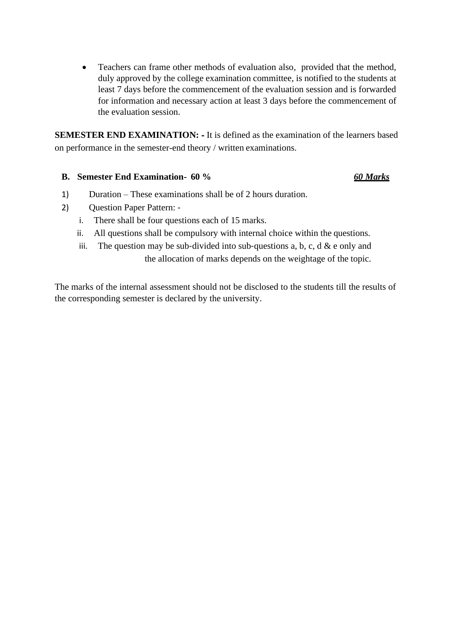• Teachers can frame other methods of evaluation also, provided that the method, duly approved by the college examination committee, is notified to the students at least 7 days before the commencement of the evaluation session and is forwarded for information and necessary action at least 3 days before the commencement of the evaluation session.

**SEMESTER END EXAMINATION:**  $\cdot$  It is defined as the examination of the learners based on performance in the semester-end theory / written examinations.

#### **B. Semester End Examination- 60 %** *60 Marks*

- 1) Duration These examinations shall be of 2 hours duration.
- 2) Question Paper Pattern: ‐
	- i. There shall be four questions each of 15 marks.
	- ii. All questions shall be compulsory with internal choice within the questions.
	- iii. The question may be sub-divided into sub-questions a, b, c, d  $\&$  e only and the allocation of marks depends on the weightage of the topic.

The marks of the internal assessment should not be disclosed to the students till the results of the corresponding semester is declared by the university.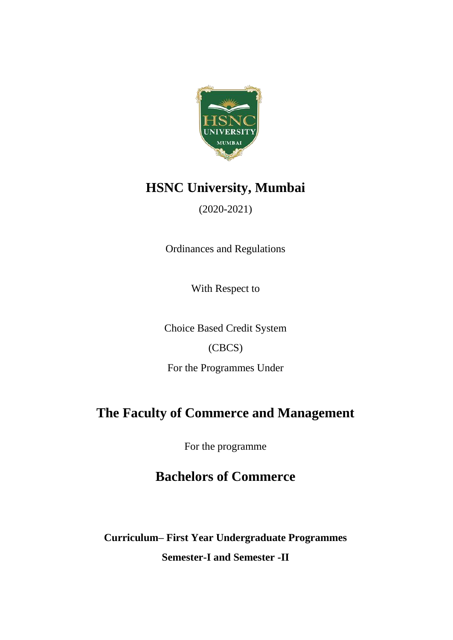

## **HSNC University, Mumbai**

### (2020-2021)

Ordinances and Regulations

With Respect to

Choice Based Credit System

### (CBCS)

For the Programmes Under

### **The Faculty of Commerce and Management**

For the programme

### **Bachelors of Commerce**

**Curriculum– First Year Undergraduate Programmes Semester-I and Semester -II**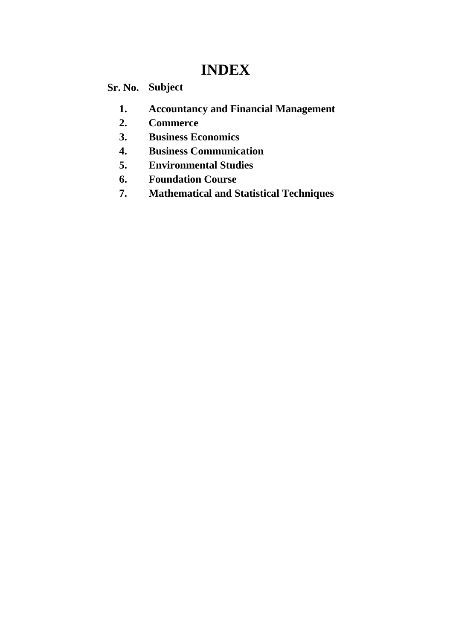## **INDEX**

### **Sr. No. Subject**

- **1. Accountancy and Financial Management**
- **2. Commerce**
- **3. Business Economics**
- **4. Business Communication**
- **5. Environmental Studies**
- **6. Foundation Course**
- **7. Mathematical and Statistical Techniques**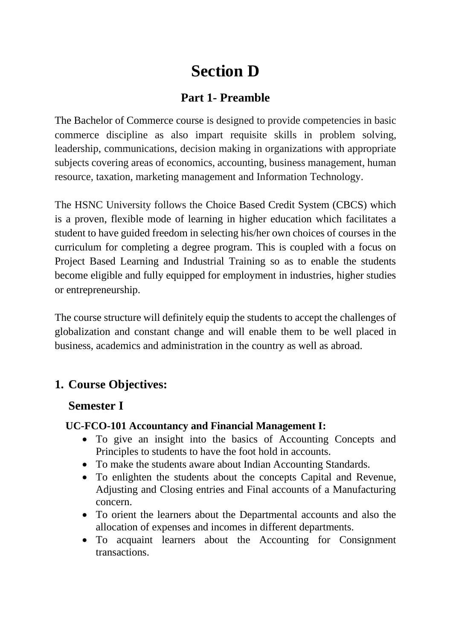## **Section D**

### **Part 1- Preamble**

The Bachelor of Commerce course is designed to provide competencies in basic commerce discipline as also impart requisite skills in problem solving, leadership, communications, decision making in organizations with appropriate subjects covering areas of economics, accounting, business management, human resource, taxation, marketing management and Information Technology.

The HSNC University follows the Choice Based Credit System (CBCS) which is a proven, flexible mode of learning in higher education which facilitates a student to have guided freedom in selecting his/her own choices of courses in the curriculum for completing a degree program. This is coupled with a focus on Project Based Learning and Industrial Training so as to enable the students become eligible and fully equipped for employment in industries, higher studies or entrepreneurship.

The course structure will definitely equip the students to accept the challenges of globalization and constant change and will enable them to be well placed in business, academics and administration in the country as well as abroad.

### **1. Course Objectives:**

#### **Semester I**

#### **UC-FCO-101 Accountancy and Financial Management I:**

- To give an insight into the basics of Accounting Concepts and Principles to students to have the foot hold in accounts.
- To make the students aware about Indian Accounting Standards.
- To enlighten the students about the concepts Capital and Revenue, Adjusting and Closing entries and Final accounts of a Manufacturing concern.
- To orient the learners about the Departmental accounts and also the allocation of expenses and incomes in different departments.
- To acquaint learners about the Accounting for Consignment transactions.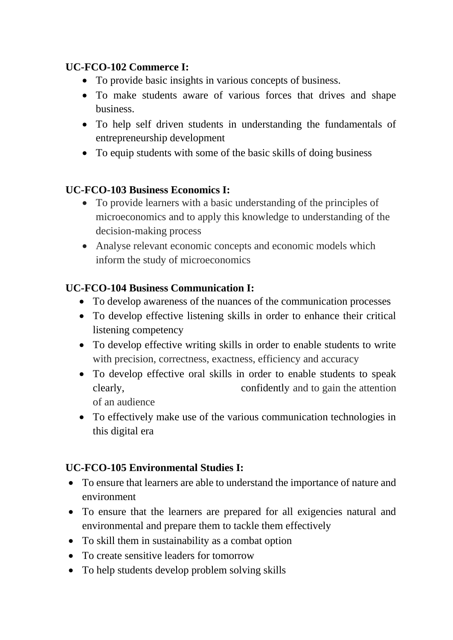### **UC-FCO-102 Commerce I:**

- To provide basic insights in various concepts of business.
- To make students aware of various forces that drives and shape business.
- To help self driven students in understanding the fundamentals of entrepreneurship development
- To equip students with some of the basic skills of doing business

### **UC-FCO-103 Business Economics I:**

- To provide learners with a basic understanding of the principles of microeconomics and to apply this knowledge to understanding of the decision-making process
- Analyse relevant economic concepts and economic models which inform the study of microeconomics

### **UC-FCO-104 Business Communication I:**

- To develop awareness of the nuances of the communication processes
- To develop effective listening skills in order to enhance their critical listening competency
- To develop effective writing skills in order to enable students to write with precision, correctness, exactness, efficiency and accuracy
- To develop effective oral skills in order to enable students to speak clearly, confidently and to gain the attention of an audience
- To effectively make use of the various communication technologies in this digital era

### **UC-FCO-105 Environmental Studies I:**

- To ensure that learners are able to understand the importance of nature and environment
- To ensure that the learners are prepared for all exigencies natural and environmental and prepare them to tackle them effectively
- To skill them in sustainability as a combat option
- To create sensitive leaders for tomorrow
- To help students develop problem solving skills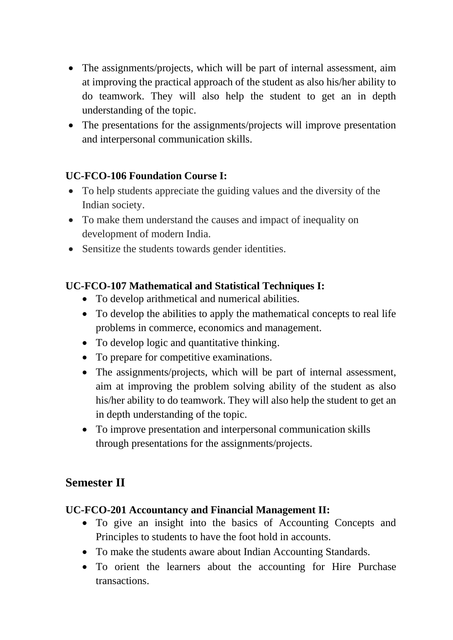- The assignments/projects, which will be part of internal assessment, aim at improving the practical approach of the student as also his/her ability to do teamwork. They will also help the student to get an in depth understanding of the topic.
- The presentations for the assignments/projects will improve presentation and interpersonal communication skills.

### **UC-FCO-106 Foundation Course I:**

- To help students appreciate the guiding values and the diversity of the Indian society.
- To make them understand the causes and impact of inequality on development of modern India.
- Sensitize the students towards gender identities.

### **UC-FCO-107 Mathematical and Statistical Techniques I:**

- To develop arithmetical and numerical abilities.
- To develop the abilities to apply the mathematical concepts to real life problems in commerce, economics and management.
- To develop logic and quantitative thinking.
- To prepare for competitive examinations.
- The assignments/projects, which will be part of internal assessment, aim at improving the problem solving ability of the student as also his/her ability to do teamwork. They will also help the student to get an in depth understanding of the topic.
- To improve presentation and interpersonal communication skills through presentations for the assignments/projects.

### **Semester II**

### **UC-FCO-201 Accountancy and Financial Management II:**

- To give an insight into the basics of Accounting Concepts and Principles to students to have the foot hold in accounts.
- To make the students aware about Indian Accounting Standards.
- To orient the learners about the accounting for Hire Purchase transactions.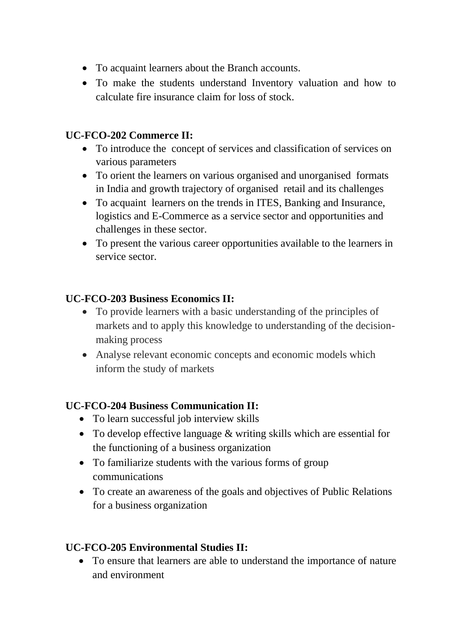- To acquaint learners about the Branch accounts.
- To make the students understand Inventory valuation and how to calculate fire insurance claim for loss of stock.

### **UC-FCO-202 Commerce II:**

- To introduce the concept of services and classification of services on various parameters
- To orient the learners on various organised and unorganised formats in India and growth trajectory of organised retail and its challenges
- To acquaint learners on the trends in ITES, Banking and Insurance, logistics and E-Commerce as a service sector and opportunities and challenges in these sector.
- To present the various career opportunities available to the learners in service sector.

### **UC-FCO-203 Business Economics II:**

- To provide learners with a basic understanding of the principles of markets and to apply this knowledge to understanding of the decisionmaking process
- Analyse relevant economic concepts and economic models which inform the study of markets

### **UC-FCO-204 Business Communication II:**

- To learn successful job interview skills
- To develop effective language & writing skills which are essential for the functioning of a business organization
- To familiarize students with the various forms of group communications
- To create an awareness of the goals and objectives of Public Relations for a business organization

### **UC-FCO-205 Environmental Studies II:**

• To ensure that learners are able to understand the importance of nature and environment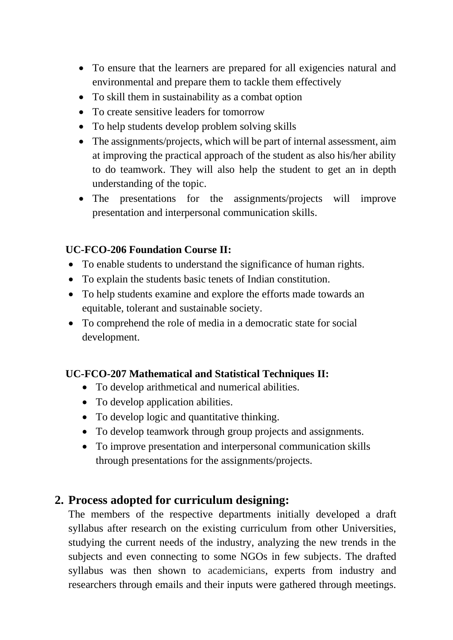- To ensure that the learners are prepared for all exigencies natural and environmental and prepare them to tackle them effectively
- To skill them in sustainability as a combat option
- To create sensitive leaders for tomorrow
- To help students develop problem solving skills
- The assignments/projects, which will be part of internal assessment, aim at improving the practical approach of the student as also his/her ability to do teamwork. They will also help the student to get an in depth understanding of the topic.
- The presentations for the assignments/projects will improve presentation and interpersonal communication skills.

### **UC-FCO-206 Foundation Course II:**

- To enable students to understand the significance of human rights.
- To explain the students basic tenets of Indian constitution.
- To help students examine and explore the efforts made towards an equitable, tolerant and sustainable society.
- To comprehend the role of media in a democratic state for social development.

### **UC-FCO-207 Mathematical and Statistical Techniques II:**

- To develop arithmetical and numerical abilities.
- To develop application abilities.
- To develop logic and quantitative thinking.
- To develop teamwork through group projects and assignments.
- To improve presentation and interpersonal communication skills through presentations for the assignments/projects.

### **2. Process adopted for curriculum designing:**

The members of the respective departments initially developed a draft syllabus after research on the existing curriculum from other Universities, studying the current needs of the industry, analyzing the new trends in the subjects and even connecting to some NGOs in few subjects. The drafted syllabus was then shown to academicians, experts from industry and researchers through emails and their inputs were gathered through meetings.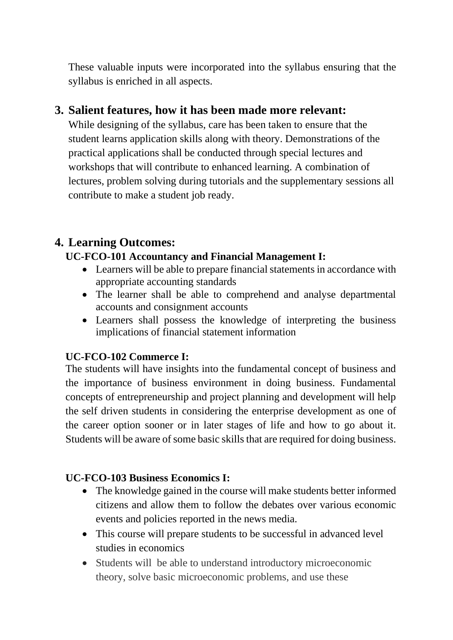These valuable inputs were incorporated into the syllabus ensuring that the syllabus is enriched in all aspects.

### **3. Salient features, how it has been made more relevant:**

While designing of the syllabus, care has been taken to ensure that the student learns application skills along with theory. Demonstrations of the practical applications shall be conducted through special lectures and workshops that will contribute to enhanced learning. A combination of lectures, problem solving during tutorials and the supplementary sessions all contribute to make a student job ready.

### **4. Learning Outcomes:**

#### **UC-FCO-101 Accountancy and Financial Management I:**

- Learners will be able to prepare financial statements in accordance with appropriate accounting standards
- The learner shall be able to comprehend and analyse departmental accounts and consignment accounts
- Learners shall possess the knowledge of interpreting the business implications of financial statement information

### **UC-FCO-102 Commerce I:**

The students will have insights into the fundamental concept of business and the importance of business environment in doing business. Fundamental concepts of entrepreneurship and project planning and development will help the self driven students in considering the enterprise development as one of the career option sooner or in later stages of life and how to go about it. Students will be aware of some basic skills that are required for doing business.

### **UC-FCO-103 Business Economics I:**

- The knowledge gained in the course will make students better informed citizens and allow them to follow the debates over various economic events and policies reported in the news media.
- This course will prepare students to be successful in advanced level studies in economics
- Students will be able to understand introductory microeconomic theory, solve basic microeconomic problems, and use these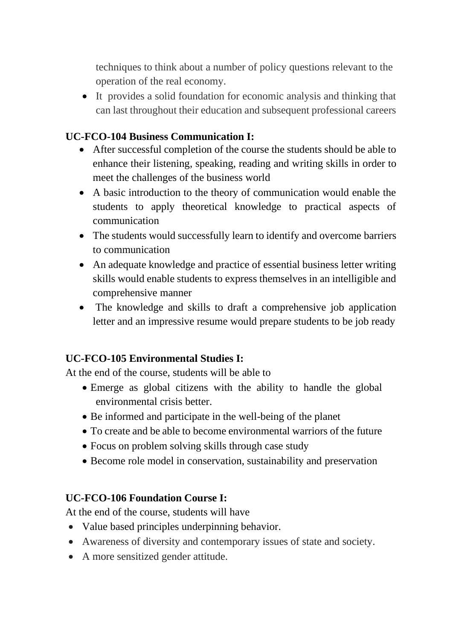techniques to think about a number of policy questions relevant to the operation of the real economy.

• It provides a solid foundation for economic analysis and thinking that can last throughout their education and subsequent professional careers

### **UC-FCO-104 Business Communication I:**

- After successful completion of the course the students should be able to enhance their listening, speaking, reading and writing skills in order to meet the challenges of the business world
- A basic introduction to the theory of communication would enable the students to apply theoretical knowledge to practical aspects of communication
- The students would successfully learn to identify and overcome barriers to communication
- An adequate knowledge and practice of essential business letter writing skills would enable students to express themselves in an intelligible and comprehensive manner
- The knowledge and skills to draft a comprehensive job application letter and an impressive resume would prepare students to be job ready

### **UC-FCO-105 Environmental Studies I:**

At the end of the course, students will be able to

- Emerge as global citizens with the ability to handle the global environmental crisis better.
- Be informed and participate in the well-being of the planet
- To create and be able to become environmental warriors of the future
- Focus on problem solving skills through case study
- Become role model in conservation, sustainability and preservation

#### **UC-FCO-106 Foundation Course I:**

At the end of the course, students will have

- Value based principles underpinning behavior.
- Awareness of diversity and contemporary issues of state and society.
- A more sensitized gender attitude.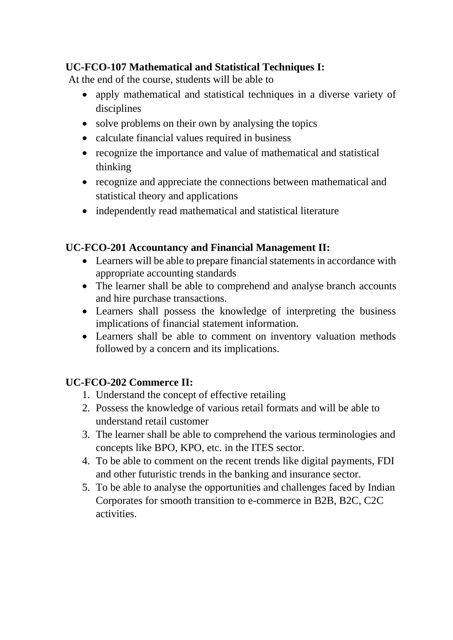### **UC-FCO-107 Mathematical and Statistical Techniques I:**

At the end of the course, students will be able to

- apply mathematical and statistical techniques in a diverse variety of disciplines
- solve problems on their own by analysing the topics
- calculate financial values required in business
- recognize the importance and value of mathematical and statistical thinking
- recognize and appreciate the connections between mathematical and statistical theory and applications
- independently read mathematical and statistical literature

### **UC-FCO-201 Accountancy and Financial Management II:**

- Learners will be able to prepare financial statements in accordance with appropriate accounting standards
- The learner shall be able to comprehend and analyse branch accounts and hire purchase transactions.
- Learners shall possess the knowledge of interpreting the business implications of financial statement information.
- Learners shall be able to comment on inventory valuation methods followed by a concern and its implications.

### **UC-FCO-202 Commerce II:**

- 1. Understand the concept of effective retailing
- 2. Possess the knowledge of various retail formats and will be able to understand retail customer
- 3. The learner shall be able to comprehend the various terminologies and concepts like BPO, KPO, etc. in the ITES sector.
- 4. To be able to comment on the recent trends like digital payments, FDI and other futuristic trends in the banking and insurance sector.
- 5. To be able to analyse the opportunities and challenges faced by Indian Corporates for smooth transition to e-commerce in B2B, B2C, C2C activities.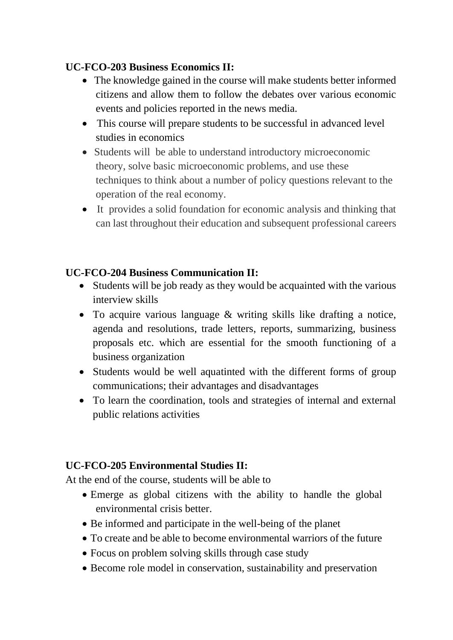### **UC-FCO-203 Business Economics II:**

- The knowledge gained in the course will make students better informed citizens and allow them to follow the debates over various economic events and policies reported in the news media.
- This course will prepare students to be successful in advanced level studies in economics
- Students will be able to understand introductory microeconomic theory, solve basic microeconomic problems, and use these techniques to think about a number of policy questions relevant to the operation of the real economy.
- It provides a solid foundation for economic analysis and thinking that can last throughout their education and subsequent professional careers

### **UC-FCO-204 Business Communication II:**

- Students will be job ready as they would be acquainted with the various interview skills
- To acquire various language & writing skills like drafting a notice, agenda and resolutions, trade letters, reports, summarizing, business proposals etc. which are essential for the smooth functioning of a business organization
- Students would be well aquatinted with the different forms of group communications; their advantages and disadvantages
- To learn the coordination, tools and strategies of internal and external public relations activities

### **UC-FCO-205 Environmental Studies II:**

At the end of the course, students will be able to

- Emerge as global citizens with the ability to handle the global environmental crisis better.
- Be informed and participate in the well-being of the planet
- To create and be able to become environmental warriors of the future
- Focus on problem solving skills through case study
- Become role model in conservation, sustainability and preservation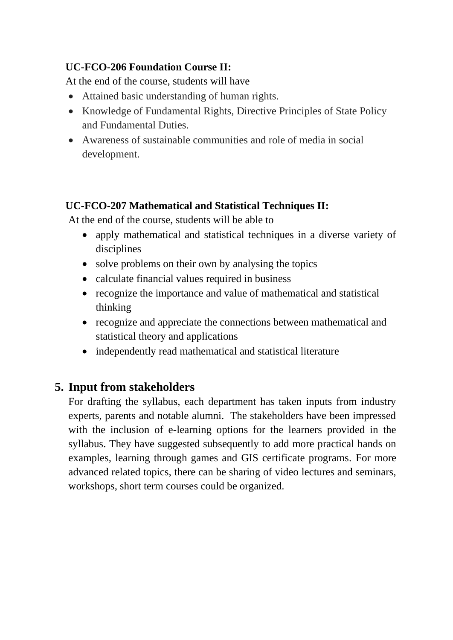### **UC-FCO-206 Foundation Course II:**

At the end of the course, students will have

- Attained basic understanding of human rights.
- Knowledge of Fundamental Rights, Directive Principles of State Policy and Fundamental Duties.
- Awareness of sustainable communities and role of media in social development.

### **UC-FCO-207 Mathematical and Statistical Techniques II:**

At the end of the course, students will be able to

- apply mathematical and statistical techniques in a diverse variety of disciplines
- solve problems on their own by analysing the topics
- calculate financial values required in business
- recognize the importance and value of mathematical and statistical thinking
- recognize and appreciate the connections between mathematical and statistical theory and applications
- independently read mathematical and statistical literature

### **5. Input from stakeholders**

For drafting the syllabus, each department has taken inputs from industry experts, parents and notable alumni. The stakeholders have been impressed with the inclusion of e-learning options for the learners provided in the syllabus. They have suggested subsequently to add more practical hands on examples, learning through games and GIS certificate programs. For more advanced related topics, there can be sharing of video lectures and seminars, workshops, short term courses could be organized.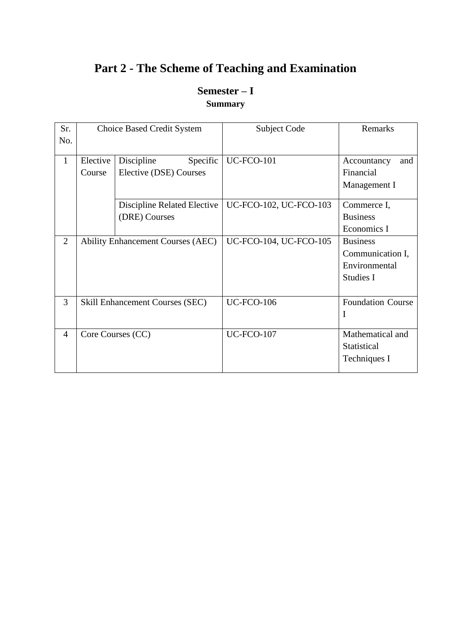### **Part 2 - The Scheme of Teaching and Examination**

### **Semester – I Summary**

| Sr.            |          | <b>Choice Based Credit System</b>        | <b>Subject Code</b>    | Remarks                  |
|----------------|----------|------------------------------------------|------------------------|--------------------------|
| No.            |          |                                          |                        |                          |
| $\mathbf{1}$   | Elective | Discipline<br>Specific                   | <b>UC-FCO-101</b>      | Accountancy<br>and       |
|                | Course   | Elective (DSE) Courses                   |                        | Financial                |
|                |          |                                          |                        | Management I             |
|                |          | Discipline Related Elective              | UC-FCO-102, UC-FCO-103 | Commerce I,              |
|                |          | (DRE) Courses                            |                        | <b>Business</b>          |
|                |          |                                          |                        | Economics I              |
| $\overline{2}$ |          | <b>Ability Enhancement Courses (AEC)</b> | UC-FCO-104, UC-FCO-105 | <b>Business</b>          |
|                |          |                                          |                        | Communication I,         |
|                |          |                                          |                        | Environmental            |
|                |          |                                          |                        | Studies I                |
|                |          |                                          |                        |                          |
| 3              |          | <b>Skill Enhancement Courses (SEC)</b>   | <b>UC-FCO-106</b>      | <b>Foundation Course</b> |
|                |          |                                          |                        | I                        |
| $\overline{4}$ |          | Core Courses (CC)                        | <b>UC-FCO-107</b>      | Mathematical and         |
|                |          |                                          |                        | <b>Statistical</b>       |
|                |          |                                          |                        | Techniques I             |
|                |          |                                          |                        |                          |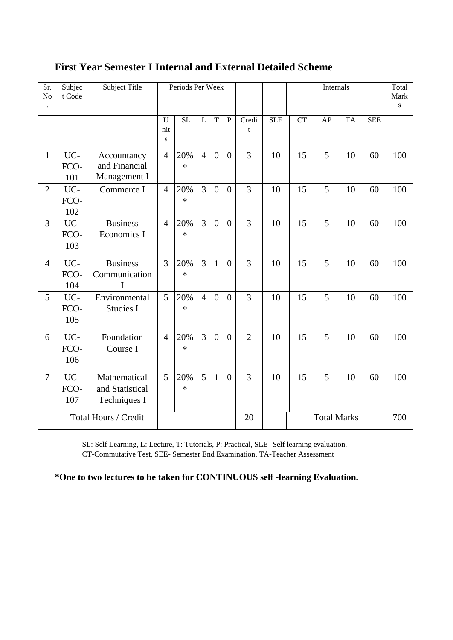| Sr.<br>No      | Subjec<br>t Code   | Subject Title                                   |                | Periods Per Week |                |                  |                |                |            |           | <b>Internals</b>   |           |            | Total<br>Mark<br>S |
|----------------|--------------------|-------------------------------------------------|----------------|------------------|----------------|------------------|----------------|----------------|------------|-----------|--------------------|-----------|------------|--------------------|
|                |                    |                                                 | U<br>nit<br>S  | <b>SL</b>        | L              | T                | ${\bf P}$      | Credi<br>t     | <b>SLE</b> | <b>CT</b> | AP                 | <b>TA</b> | <b>SEE</b> |                    |
| $\mathbf{1}$   | UC-<br>FCO-<br>101 | Accountancy<br>and Financial<br>Management I    | $\overline{4}$ | 20%<br>$\ast$    | $\overline{4}$ | $\boldsymbol{0}$ | $\overline{0}$ | 3              | 10         | 15        | 5                  | 10        | 60         | 100                |
| $\overline{2}$ | UC-<br>FCO-<br>102 | Commerce I                                      | $\overline{4}$ | 20%<br>$\ast$    | $\overline{3}$ | $\overline{0}$   | $\overline{0}$ | 3              | 10         | 15        | 5                  | 10        | 60         | 100                |
| 3              | UC-<br>FCO-<br>103 | <b>Business</b><br>Economics I                  | $\overline{4}$ | 20%<br>$\ast$    | $\overline{3}$ | $\overline{0}$   | $\overline{0}$ | 3              | 10         | 15        | 5                  | 10        | 60         | 100                |
| $\overline{4}$ | UC-<br>FCO-<br>104 | <b>Business</b><br>Communication<br>I           | 3              | 20%<br>$\ast$    | $\overline{3}$ | $\mathbf{1}$     | $\overline{0}$ | 3              | 10         | 15        | 5                  | 10        | 60         | 100                |
| 5              | UC-<br>FCO-<br>105 | Environmental<br><b>Studies I</b>               | 5              | 20%<br>$\ast$    | $\overline{4}$ | $\theta$         | $\overline{0}$ | 3              | 10         | 15        | 5                  | 10        | 60         | 100                |
| 6              | UC-<br>FCO-<br>106 | Foundation<br>Course I                          | $\overline{4}$ | 20%<br>$\ast$    | $\overline{3}$ | $\overline{0}$   | $\overline{0}$ | $\overline{2}$ | 10         | 15        | 5                  | 10        | 60         | 100                |
| $\overline{7}$ | UC-<br>FCO-<br>107 | Mathematical<br>and Statistical<br>Techniques I | 5              | 20%<br>$\ast$    | 5              | $\mathbf{1}$     | $\overline{0}$ | 3              | 10         | 15        | 5                  | 10        | 60         | 100                |
|                |                    | Total Hours / Credit                            |                |                  |                |                  |                | 20             |            |           | <b>Total Marks</b> |           |            | 700                |

### **First Year Semester I Internal and External Detailed Scheme**

SL: Self Learning, L: Lecture, T: Tutorials, P: Practical, SLE- Self learning evaluation, CT-Commutative Test, SEE- Semester End Examination, TA-Teacher Assessment

**\*One to two lectures to be taken for CONTINUOUS self -learning Evaluation.**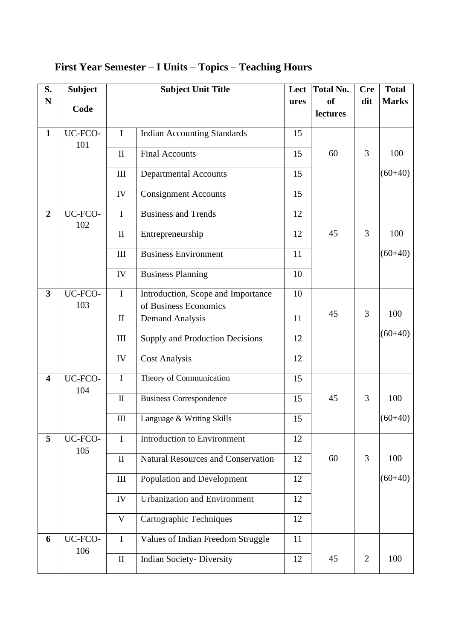| S.                      | <b>Subject</b> |                    | <b>Subject Unit Title</b>                 | Lect | <b>Total No.</b>          | <b>Cre</b>     | <b>Total</b> |
|-------------------------|----------------|--------------------|-------------------------------------------|------|---------------------------|----------------|--------------|
| $\mathbf N$             | Code           |                    |                                           | ures | <sub>of</sub><br>lectures | dit            | <b>Marks</b> |
|                         |                |                    |                                           |      |                           |                |              |
| $\mathbf{1}$            | UC-FCO-<br>101 | $\mathbf I$        | <b>Indian Accounting Standards</b>        | 15   |                           |                |              |
|                         |                | $\mathbf{I}$       | <b>Final Accounts</b>                     | 15   | 60                        | 3              | 100          |
|                         |                | Ш                  | <b>Departmental Accounts</b>              | 15   |                           |                | $(60+40)$    |
|                         |                | IV                 | <b>Consignment Accounts</b>               | 15   |                           |                |              |
| $\overline{2}$          | UC-FCO-        | $\mathbf I$        | <b>Business and Trends</b>                | 12   |                           |                |              |
|                         | 102            | $\mathbf{I}$       | Entrepreneurship                          | 12   | 45                        | $\overline{3}$ | 100          |
|                         |                | III                | <b>Business Environment</b>               | 11   |                           |                | $(60+40)$    |
|                         |                | IV                 | <b>Business Planning</b>                  | 10   |                           |                |              |
| 3                       | UC-FCO-        | $\mathbf I$        | Introduction, Scope and Importance        | 10   |                           |                |              |
|                         | 103            | $\mathbf{I}$       | of Business Economics                     | 11   | 45                        | $\overline{3}$ | 100          |
|                         |                |                    | <b>Demand Analysis</b>                    |      |                           |                |              |
|                         |                | III                | Supply and Production Decisions           | 12   |                           |                | $(60+40)$    |
|                         |                | IV                 | <b>Cost Analysis</b>                      | 12   |                           |                |              |
| $\overline{\mathbf{4}}$ | UC-FCO-<br>104 | $\mathbf I$        | Theory of Communication                   | 15   |                           |                |              |
|                         |                | $\mathbf{I}$       | <b>Business Correspondence</b>            | 15   | 45                        | 3              | 100          |
|                         |                | $\mathop{\rm III}$ | Language & Writing Skills                 | 15   |                           |                | $(60+40)$    |
| 5                       | UC-FCO-<br>105 | $\mathbf I$        | <b>Introduction to Environment</b>        | 12   |                           |                |              |
|                         |                | $\mathbf{I}$       | <b>Natural Resources and Conservation</b> | 12   | 60                        | 3              | 100          |
|                         |                | III                | Population and Development                | 12   |                           |                | $(60+40)$    |
|                         |                | IV                 | <b>Urbanization and Environment</b>       | 12   |                           |                |              |
|                         |                | V                  | Cartographic Techniques                   | 12   |                           |                |              |
| 6                       | UC-FCO-        | $\mathbf I$        | Values of Indian Freedom Struggle         | 11   |                           |                |              |
|                         | 106            | $\rm II$           | <b>Indian Society- Diversity</b>          | 12   | 45                        | $\overline{2}$ | 100          |

### **First Year Semester – I Units – Topics – Teaching Hours**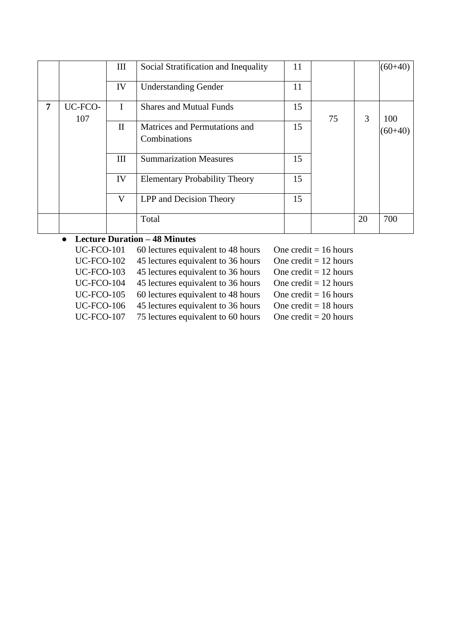|   |                | Ш            | Social Stratification and Inequality          | 11 |    |    | $(60+40)$ |
|---|----------------|--------------|-----------------------------------------------|----|----|----|-----------|
|   |                | IV           | <b>Understanding Gender</b>                   | 11 |    |    |           |
| 7 | UC-FCO-<br>107 | $\mathbf{I}$ | <b>Shares and Mutual Funds</b>                | 15 | 75 | 3  | 100       |
|   |                | $\mathbf{I}$ | Matrices and Permutations and<br>Combinations | 15 |    |    | $60 + 40$ |
|   |                | Ш            | <b>Summarization Measures</b>                 | 15 |    |    |           |
|   |                | IV           | <b>Elementary Probability Theory</b>          | 15 |    |    |           |
|   |                | V            | LPP and Decision Theory                       | 15 |    |    |           |
|   |                |              | Total                                         |    |    | 20 | 700       |

### ● **Lecture Duration – 48 Minutes**

| <b>UC-FCO-101</b> | 60 lectures equivalent to 48 hours | One credit = $16$ hours |
|-------------------|------------------------------------|-------------------------|
| <b>UC-FCO-102</b> | 45 lectures equivalent to 36 hours | One credit = $12$ hours |
| <b>UC-FCO-103</b> | 45 lectures equivalent to 36 hours | One credit $= 12$ hours |
| <b>UC-FCO-104</b> | 45 lectures equivalent to 36 hours | One credit = $12$ hours |
| <b>UC-FCO-105</b> | 60 lectures equivalent to 48 hours | One credit = $16$ hours |
| <b>UC-FCO-106</b> | 45 lectures equivalent to 36 hours | One credit $= 18$ hours |
| <b>UC-FCO-107</b> | 75 lectures equivalent to 60 hours | One credit $= 20$ hours |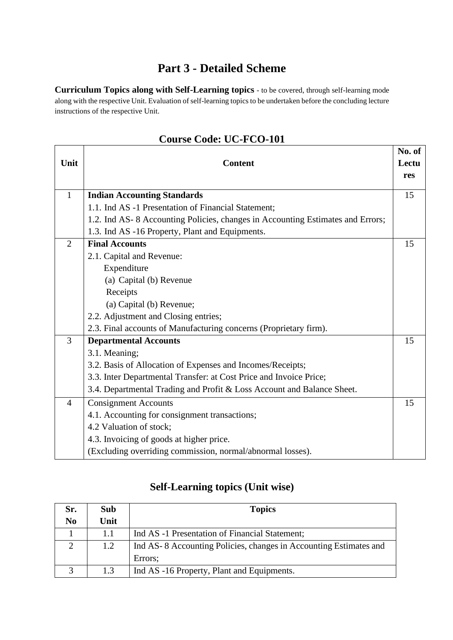### **Part 3 - Detailed Scheme**

**Curriculum Topics along with Self-Learning topics** - to be covered, through self-learning mode along with the respective Unit. Evaluation of self-learning topics to be undertaken before the concluding lecture instructions of the respective Unit.

| Unit           | <b>Content</b>                                                                 | No. of<br>Lectu<br>res |
|----------------|--------------------------------------------------------------------------------|------------------------|
| $\mathbf{1}$   | <b>Indian Accounting Standards</b>                                             | 15                     |
|                | 1.1. Ind AS -1 Presentation of Financial Statement;                            |                        |
|                | 1.2. Ind AS-8 Accounting Policies, changes in Accounting Estimates and Errors; |                        |
|                | 1.3. Ind AS -16 Property, Plant and Equipments.                                |                        |
| 2              | <b>Final Accounts</b>                                                          | 15                     |
|                | 2.1. Capital and Revenue:                                                      |                        |
|                | Expenditure                                                                    |                        |
|                | (a) Capital (b) Revenue                                                        |                        |
|                | Receipts                                                                       |                        |
|                | (a) Capital (b) Revenue;                                                       |                        |
|                | 2.2. Adjustment and Closing entries;                                           |                        |
|                | 2.3. Final accounts of Manufacturing concerns (Proprietary firm).              |                        |
| 3              | <b>Departmental Accounts</b>                                                   | 15                     |
|                | 3.1. Meaning;                                                                  |                        |
|                | 3.2. Basis of Allocation of Expenses and Incomes/Receipts;                     |                        |
|                | 3.3. Inter Departmental Transfer: at Cost Price and Invoice Price;             |                        |
|                | 3.4. Departmental Trading and Profit & Loss Account and Balance Sheet.         |                        |
| $\overline{4}$ | <b>Consignment Accounts</b>                                                    | 15                     |
|                | 4.1. Accounting for consignment transactions;                                  |                        |
|                | 4.2 Valuation of stock;                                                        |                        |
|                | 4.3. Invoicing of goods at higher price.                                       |                        |
|                | (Excluding overriding commission, normal/abnormal losses).                     |                        |

#### **Course Code: UC-FCO-101**

### **Self-Learning topics (Unit wise)**

| Sr.            | Sub  | <b>Topics</b>                                                     |
|----------------|------|-------------------------------------------------------------------|
| N <sub>0</sub> | Unit |                                                                   |
|                | 1.1  | Ind AS -1 Presentation of Financial Statement;                    |
| 2              | 1.2  | Ind AS-8 Accounting Policies, changes in Accounting Estimates and |
|                |      | Errors;                                                           |
| 3              | 1.3  | Ind AS -16 Property, Plant and Equipments.                        |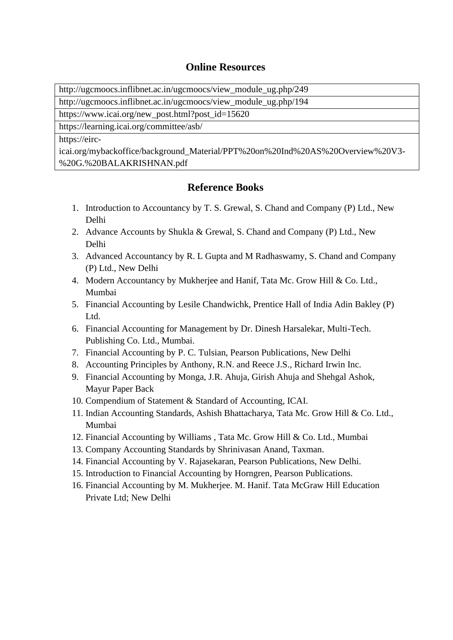#### **Online Resources**

[http://ugcmoocs.inflibnet.ac.in/ugcmoocs/view\\_module\\_ug.php/249](http://ugcmoocs.inflibnet.ac.in/ugcmoocs/view_module_ug.php/249)

[http://ugcmoocs.inflibnet.ac.in/ugcmoocs/view\\_module\\_ug.php/194](http://ugcmoocs.inflibnet.ac.in/ugcmoocs/view_module_ug.php/194)

[https://www.icai.org/new\\_post.html?post\\_id=15620](https://www.icai.org/new_post.html?post_id=15620)

<https://learning.icai.org/committee/asb/>

[https://eirc-](https://eirc-icai.org/mybackoffice/background_Material/PPT%20on%20Ind%20AS%20Overview%20V3-%20G.%20BALAKRISHNAN.pdf)

[icai.org/mybackoffice/background\\_Material/PPT%20on%20Ind%20AS%20Overview%20V3-](https://eirc-icai.org/mybackoffice/background_Material/PPT%20on%20Ind%20AS%20Overview%20V3-%20G.%20BALAKRISHNAN.pdf) [%20G.%20BALAKRISHNAN.pdf](https://eirc-icai.org/mybackoffice/background_Material/PPT%20on%20Ind%20AS%20Overview%20V3-%20G.%20BALAKRISHNAN.pdf)

#### **Reference Books**

- 1. Introduction to Accountancy by T. S. Grewal, S. Chand and Company (P) Ltd., New Delhi
- 2. Advance Accounts by Shukla & Grewal, S. Chand and Company (P) Ltd., New Delhi
- 3. Advanced Accountancy by R. L Gupta and M Radhaswamy, S. Chand and Company (P) Ltd., New Delhi
- 4. Modern Accountancy by Mukherjee and Hanif, Tata Mc. Grow Hill & Co. Ltd., Mumbai
- 5. Financial Accounting by Lesile Chandwichk, Prentice Hall of India Adin Bakley (P) Ltd.
- 6. Financial Accounting for Management by Dr. Dinesh Harsalekar, Multi-Tech. Publishing Co. Ltd., Mumbai.
- 7. Financial Accounting by P. C. Tulsian, Pearson Publications, New Delhi
- 8. Accounting Principles by Anthony, R.N. and Reece J.S., Richard Irwin Inc.
- 9. Financial Accounting by Monga, J.R. Ahuja, Girish Ahuja and Shehgal Ashok, Mayur Paper Back
- 10. Compendium of Statement & Standard of Accounting, ICAI.
- 11. Indian Accounting Standards, Ashish Bhattacharya, Tata Mc. Grow Hill & Co. Ltd., Mumbai
- 12. Financial Accounting by Williams , Tata Mc. Grow Hill & Co. Ltd., Mumbai
- 13. Company Accounting Standards by Shrinivasan Anand, Taxman.
- 14. Financial Accounting by V. Rajasekaran, Pearson Publications, New Delhi.
- 15. Introduction to Financial Accounting by Horngren, Pearson Publications.
- 16. Financial Accounting by M. Mukherjee. M. Hanif. Tata McGraw Hill Education Private Ltd; New Delhi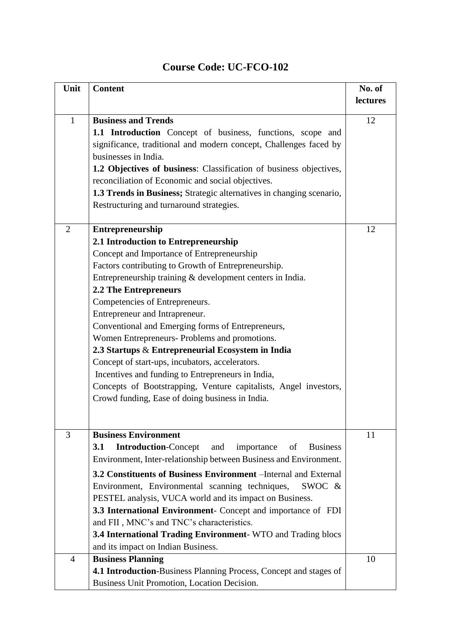| Unit           | <b>Content</b>                                                                   | No. of   |
|----------------|----------------------------------------------------------------------------------|----------|
|                |                                                                                  | lectures |
|                |                                                                                  |          |
| $\mathbf{1}$   | <b>Business and Trends</b>                                                       | 12       |
|                | 1.1 Introduction Concept of business, functions, scope and                       |          |
|                | significance, traditional and modern concept, Challenges faced by                |          |
|                | businesses in India.                                                             |          |
|                | 1.2 Objectives of business: Classification of business objectives,               |          |
|                | reconciliation of Economic and social objectives.                                |          |
|                | 1.3 Trends in Business; Strategic alternatives in changing scenario,             |          |
|                | Restructuring and turnaround strategies.                                         |          |
| $\overline{2}$ | <b>Entrepreneurship</b>                                                          | 12       |
|                | 2.1 Introduction to Entrepreneurship                                             |          |
|                | Concept and Importance of Entrepreneurship                                       |          |
|                | Factors contributing to Growth of Entrepreneurship.                              |          |
|                | Entrepreneurship training & development centers in India.                        |          |
|                | 2.2 The Entrepreneurs                                                            |          |
|                | Competencies of Entrepreneurs.                                                   |          |
|                | Entrepreneur and Intrapreneur.                                                   |          |
|                | Conventional and Emerging forms of Entrepreneurs,                                |          |
|                | Women Entrepreneurs- Problems and promotions.                                    |          |
|                | 2.3 Startups & Entrepreneurial Ecosystem in India                                |          |
|                | Concept of start-ups, incubators, accelerators.                                  |          |
|                | Incentives and funding to Entrepreneurs in India,                                |          |
|                | Concepts of Bootstrapping, Venture capitalists, Angel investors,                 |          |
|                | Crowd funding, Ease of doing business in India.                                  |          |
|                |                                                                                  |          |
|                |                                                                                  |          |
| 3              | <b>Business Environment</b>                                                      | 11       |
|                | <b>Introduction-Concept</b><br>3.1<br>and<br><b>Business</b><br>importance<br>of |          |
|                | Environment, Inter-relationship between Business and Environment.                |          |
|                | 3.2 Constituents of Business Environment – Internal and External                 |          |
|                | Environment, Environmental scanning techniques,<br>SWOC &                        |          |
|                | PESTEL analysis, VUCA world and its impact on Business.                          |          |
|                | 3.3 International Environment- Concept and importance of FDI                     |          |
|                | and FII, MNC's and TNC's characteristics.                                        |          |
|                | 3.4 International Trading Environment-WTO and Trading blocs                      |          |
|                | and its impact on Indian Business.                                               |          |
| $\overline{4}$ | <b>Business Planning</b>                                                         | 10       |
|                | 4.1 Introduction-Business Planning Process, Concept and stages of                |          |
|                | Business Unit Promotion, Location Decision.                                      |          |

### **Course Code: UC-FCO-102**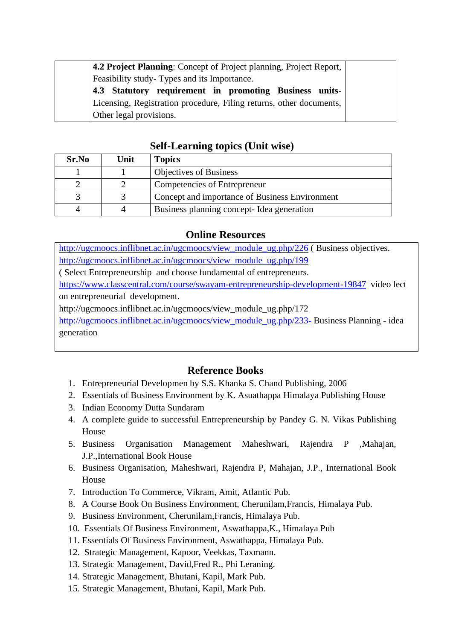| 4.2 Project Planning: Concept of Project planning, Project Report,  |
|---------------------------------------------------------------------|
| Feasibility study-Types and its Importance.                         |
| 4.3 Statutory requirement in promoting Business units-              |
| Licensing, Registration procedure, Filing returns, other documents, |
| Other legal provisions.                                             |

#### **Self-Learning topics (Unit wise)**

| Sr.No | Unit | <b>Topics</b>                                  |
|-------|------|------------------------------------------------|
|       |      | <b>Objectives of Business</b>                  |
|       |      | Competencies of Entrepreneur                   |
|       |      | Concept and importance of Business Environment |
|       |      | Business planning concept-Idea generation      |

#### **Online Resources**

[http://ugcmoocs.inflibnet.ac.in/ugcmoocs/view\\_module\\_ug.php/226](http://ugcmoocs.inflibnet.ac.in/ugcmoocs/view_module_ug.php/226) (Business objectives. [http://ugcmoocs.inflibnet.ac.in/ugcmoocs/view\\_module\\_ug.php/199](http://ugcmoocs.inflibnet.ac.in/ugcmoocs/view_module_ug.php/199) ( Select Entrepreneurship and choose fundamental of entrepreneurs. <https://www.classcentral.com/course/swayam-entrepreneurship-development-19847>video lect on entrepreneurial development. http://ugcmoocs.inflibnet.ac.in/ugcmoocs/view\_module\_ug.php/172 [http://ugcmoocs.inflibnet.ac.in/ugcmoocs/view\\_module\\_ug.php/233-](http://ugcmoocs.inflibnet.ac.in/ugcmoocs/view_module_ug.php/233-) Business Planning - idea generation

#### **Reference Books**

- 1. Entrepreneurial Developmen by S.S. Khanka S. Chand Publishing, 2006
- 2. Essentials of Business Environment by K. Asuathappa Himalaya Publishing House
- 3. Indian Economy Dutta Sundaram
- 4. A complete guide to successful Entrepreneurship by Pandey G. N. Vikas Publishing House
- 5. Business Organisation Management Maheshwari, Rajendra P ,Mahajan, J.P.,International Book House
- 6. Business Organisation, Maheshwari, Rajendra P, Mahajan, J.P., International Book House
- 7. Introduction To Commerce, Vikram, Amit, Atlantic Pub.
- 8. A Course Book On Business Environment, Cherunilam,Francis, Himalaya Pub.
- 9. Business Environment, Cherunilam,Francis, Himalaya Pub.
- 10. Essentials Of Business Environment, Aswathappa,K., Himalaya Pub
- 11. Essentials Of Business Environment, Aswathappa, Himalaya Pub.
- 12. Strategic Management, Kapoor, Veekkas, Taxmann.
- 13. Strategic Management, David,Fred R., Phi Leraning.
- 14. Strategic Management, Bhutani, Kapil, Mark Pub.
- 15. Strategic Management, Bhutani, Kapil, Mark Pub.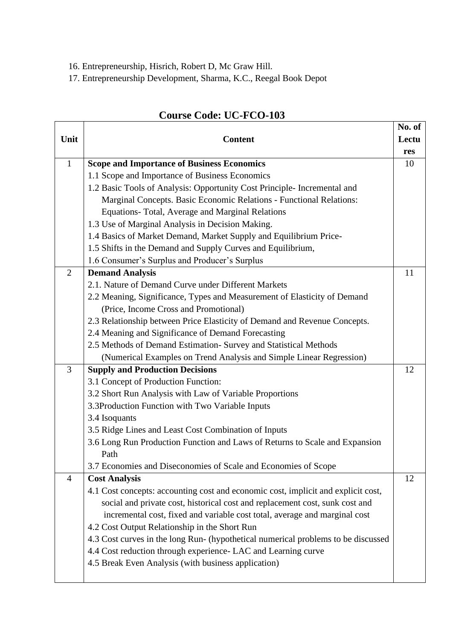- 16. Entrepreneurship, Hisrich, Robert D, Mc Graw Hill.
- 17. Entrepreneurship Development, Sharma, K.C., Reegal Book Depot

|                |                                                                                   | No. of |
|----------------|-----------------------------------------------------------------------------------|--------|
| Unit           | <b>Content</b>                                                                    | Lectu  |
|                |                                                                                   | res    |
| $\mathbf{1}$   | <b>Scope and Importance of Business Economics</b>                                 | 10     |
|                | 1.1 Scope and Importance of Business Economics                                    |        |
|                | 1.2 Basic Tools of Analysis: Opportunity Cost Principle- Incremental and          |        |
|                | Marginal Concepts. Basic Economic Relations - Functional Relations:               |        |
|                | Equations-Total, Average and Marginal Relations                                   |        |
|                | 1.3 Use of Marginal Analysis in Decision Making.                                  |        |
|                | 1.4 Basics of Market Demand, Market Supply and Equilibrium Price-                 |        |
|                | 1.5 Shifts in the Demand and Supply Curves and Equilibrium,                       |        |
|                | 1.6 Consumer's Surplus and Producer's Surplus                                     |        |
| 2              | <b>Demand Analysis</b>                                                            | 11     |
|                | 2.1. Nature of Demand Curve under Different Markets                               |        |
|                | 2.2 Meaning, Significance, Types and Measurement of Elasticity of Demand          |        |
|                | (Price, Income Cross and Promotional)                                             |        |
|                | 2.3 Relationship between Price Elasticity of Demand and Revenue Concepts.         |        |
|                | 2.4 Meaning and Significance of Demand Forecasting                                |        |
|                | 2.5 Methods of Demand Estimation- Survey and Statistical Methods                  |        |
|                | (Numerical Examples on Trend Analysis and Simple Linear Regression)               |        |
| 3              | <b>Supply and Production Decisions</b>                                            | 12     |
|                | 3.1 Concept of Production Function:                                               |        |
|                | 3.2 Short Run Analysis with Law of Variable Proportions                           |        |
|                | 3.3Production Function with Two Variable Inputs                                   |        |
|                | 3.4 Isoquants                                                                     |        |
|                | 3.5 Ridge Lines and Least Cost Combination of Inputs                              |        |
|                | 3.6 Long Run Production Function and Laws of Returns to Scale and Expansion       |        |
|                | Path                                                                              |        |
|                | 3.7 Economies and Diseconomies of Scale and Economies of Scope                    |        |
| $\overline{4}$ | <b>Cost Analysis</b>                                                              | 12     |
|                | 4.1 Cost concepts: accounting cost and economic cost, implicit and explicit cost, |        |
|                | social and private cost, historical cost and replacement cost, sunk cost and      |        |
|                | incremental cost, fixed and variable cost total, average and marginal cost        |        |
|                | 4.2 Cost Output Relationship in the Short Run                                     |        |
|                | 4.3 Cost curves in the long Run- (hypothetical numerical problems to be discussed |        |
|                | 4.4 Cost reduction through experience- LAC and Learning curve                     |        |
|                | 4.5 Break Even Analysis (with business application)                               |        |
|                |                                                                                   |        |

### **Course Code: UC-FCO-103**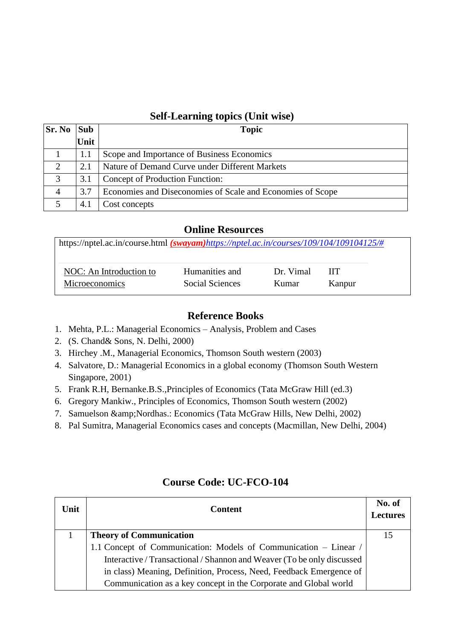#### **Self-Learning topics (Unit wise)**

| <b>Sr. No</b>               | <b>Sub</b> | <b>Topic</b>                                               |
|-----------------------------|------------|------------------------------------------------------------|
|                             | Unit       |                                                            |
|                             |            | Scope and Importance of Business Economics                 |
| $\mathcal{D}_{\mathcal{L}}$ | 2.1        | Nature of Demand Curve under Different Markets             |
| 3                           | 3.1        | Concept of Production Function:                            |
| $\overline{A}$              | 3.7        | Economies and Diseconomies of Scale and Economies of Scope |
|                             | 4.1        | Cost concepts                                              |

#### **Online Resources**

| https://nptel.ac.in/course.html (swayam)https://nptel.ac.in/courses/109/104/109104125/# |                 |           |        |
|-----------------------------------------------------------------------------------------|-----------------|-----------|--------|
| NOC: An Introduction to                                                                 | Humanities and  | Dr. Vimal | -HT    |
| <b>Microeconomics</b>                                                                   | Social Sciences | Kumar     | Kanpur |

#### **Reference Books**

- 1. Mehta, P.L.: Managerial Economics Analysis, Problem and Cases
- 2. (S. Chand& Sons, N. Delhi, 2000)
- 3. Hirchey .M., Managerial Economics, Thomson South western (2003)
- 4. Salvatore, D.: Managerial Economics in a global economy (Thomson South Western Singapore, 2001)
- 5. Frank R.H, Bernanke.B.S.,Principles of Economics (Tata McGraw Hill (ed.3)
- 6. Gregory Mankiw., Principles of Economics, Thomson South western (2002)
- 7. Samuelson & Nordhas.: Economics (Tata McGraw Hills, New Delhi, 2002)
- 8. Pal Sumitra, Managerial Economics cases and concepts (Macmillan, New Delhi, 2004)

| Unit | <b>Content</b>                                                         | No. of<br><b>Lectures</b> |
|------|------------------------------------------------------------------------|---------------------------|
|      | <b>Theory of Communication</b>                                         | 15                        |
|      | 1.1 Concept of Communication: Models of Communication - Linear /       |                           |
|      | Interactive / Transactional / Shannon and Weaver (To be only discussed |                           |
|      | in class) Meaning, Definition, Process, Need, Feedback Emergence of    |                           |
|      | Communication as a key concept in the Corporate and Global world       |                           |

#### **Course Code: UC-FCO-104**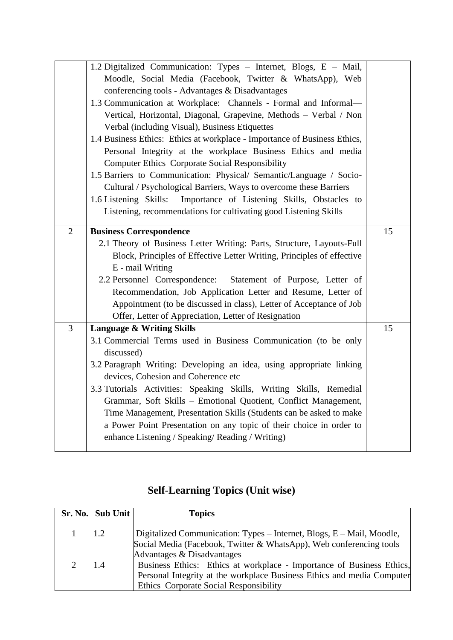|                | 1.2 Digitalized Communication: Types - Internet, Blogs, E - Mail,         |    |
|----------------|---------------------------------------------------------------------------|----|
|                | Moodle, Social Media (Facebook, Twitter & WhatsApp), Web                  |    |
|                | conferencing tools - Advantages & Disadvantages                           |    |
|                | 1.3 Communication at Workplace: Channels - Formal and Informal-           |    |
|                | Vertical, Horizontal, Diagonal, Grapevine, Methods - Verbal / Non         |    |
|                | Verbal (including Visual), Business Etiquettes                            |    |
|                | 1.4 Business Ethics: Ethics at workplace - Importance of Business Ethics, |    |
|                | Personal Integrity at the workplace Business Ethics and media             |    |
|                | <b>Computer Ethics Corporate Social Responsibility</b>                    |    |
|                | 1.5 Barriers to Communication: Physical/ Semantic/Language / Socio-       |    |
|                | Cultural / Psychological Barriers, Ways to overcome these Barriers        |    |
|                | 1.6 Listening Skills: Importance of Listening Skills, Obstacles to        |    |
|                | Listening, recommendations for cultivating good Listening Skills          |    |
|                |                                                                           |    |
| $\overline{2}$ | <b>Business Correspondence</b>                                            | 15 |
|                | 2.1 Theory of Business Letter Writing: Parts, Structure, Layouts-Full     |    |
|                | Block, Principles of Effective Letter Writing, Principles of effective    |    |
|                | E - mail Writing                                                          |    |
|                | 2.2 Personnel Correspondence: Statement of Purpose, Letter of             |    |
|                | Recommendation, Job Application Letter and Resume, Letter of              |    |
|                | Appointment (to be discussed in class), Letter of Acceptance of Job       |    |
|                | Offer, Letter of Appreciation, Letter of Resignation                      |    |
| $\overline{3}$ | <b>Language &amp; Writing Skills</b>                                      | 15 |
|                | 3.1 Commercial Terms used in Business Communication (to be only           |    |
|                | discussed)                                                                |    |
|                | 3.2 Paragraph Writing: Developing an idea, using appropriate linking      |    |
|                | devices, Cohesion and Coherence etc                                       |    |
|                | 3.3 Tutorials Activities: Speaking Skills, Writing Skills, Remedial       |    |
|                | Grammar, Soft Skills - Emotional Quotient, Conflict Management,           |    |
|                | Time Management, Presentation Skills (Students can be asked to make       |    |
|                | a Power Point Presentation on any topic of their choice in order to       |    |
|                | enhance Listening / Speaking/ Reading / Writing)                          |    |
|                |                                                                           |    |

## **Self-Learning Topics (Unit wise)**

| Sr. No. Sub Unit | <b>Topics</b>                                                                                                                                                                             |
|------------------|-------------------------------------------------------------------------------------------------------------------------------------------------------------------------------------------|
|                  | Digitalized Communication: Types – Internet, Blogs, E – Mail, Moodle,<br>Social Media (Facebook, Twitter & WhatsApp), Web conferencing tools                                              |
|                  | Advantages & Disadvantages                                                                                                                                                                |
|                  | Business Ethics: Ethics at workplace - Importance of Business Ethics,<br>Personal Integrity at the workplace Business Ethics and media Computer<br>Ethics Corporate Social Responsibility |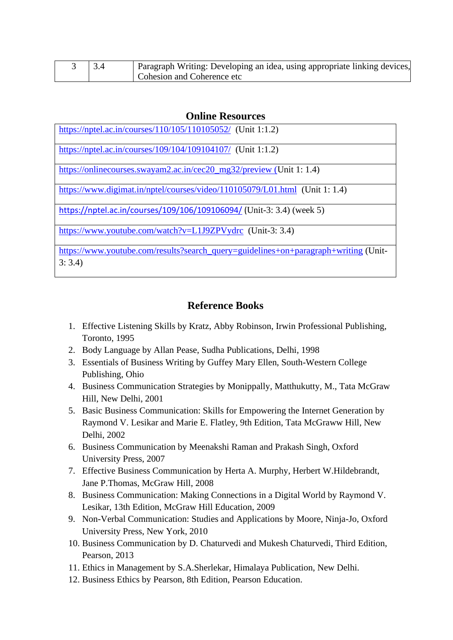|  | Paragraph Writing: Developing an idea, using appropriate linking devices, |
|--|---------------------------------------------------------------------------|
|  | Cohesion and Coherence etc                                                |

#### **Online Resources**

| https://nptel.ac.in/courses/110/105/110105052/ (Unit 1:1.2)                         |
|-------------------------------------------------------------------------------------|
| https://nptel.ac.in/courses/109/104/109104107/ (Unit 1:1.2)                         |
| https://onlinecourses.swayam2.ac.in/cec20_mg32/preview (Unit 1: 1.4)                |
| https://www.digimat.in/nptel/courses/video/110105079/L01.html (Unit 1: 1.4)         |
| https://nptel.ac.in/courses/109/106/109106094/ (Unit-3: 3.4) (week 5)               |
| https://www.youtube.com/watch?v=L1J9ZPVydrc (Unit-3: 3.4)                           |
| https://www.youtube.com/results?search_query=guidelines+on+paragraph+writing (Unit- |

3: 3.4)

#### **Reference Books**

- 1. Effective Listening Skills by Kratz, Abby Robinson, Irwin Professional Publishing, Toronto, 1995
- 2. Body Language by Allan Pease, Sudha Publications, Delhi, 1998
- 3. Essentials of Business Writing by Guffey Mary Ellen, South-Western College Publishing, Ohio
- 4. Business Communication Strategies by Monippally, Matthukutty, M., Tata McGraw Hill, New Delhi, 2001
- 5. Basic Business Communication: Skills for Empowering the Internet Generation by Raymond V. Lesikar and Marie E. Flatley, 9th Edition, Tata McGraww Hill, New Delhi, 2002
- 6. Business Communication by Meenakshi Raman and Prakash Singh, Oxford University Press, 2007
- 7. Effective Business Communication by Herta A. Murphy, Herbert W.Hildebrandt, Jane P.Thomas, McGraw Hill, 2008
- 8. Business Communication: Making Connections in a Digital World by Raymond V. Lesikar, 13th Edition, McGraw Hill Education, 2009
- 9. Non-Verbal Communication: Studies and Applications by Moore, Ninja-Jo, Oxford University Press, New York, 2010
- 10. Business Communication by D. Chaturvedi and Mukesh Chaturvedi, Third Edition, Pearson, 2013
- 11. Ethics in Management by S.A.Sherlekar, Himalaya Publication, New Delhi.
- 12. Business Ethics by Pearson, 8th Edition, Pearson Education.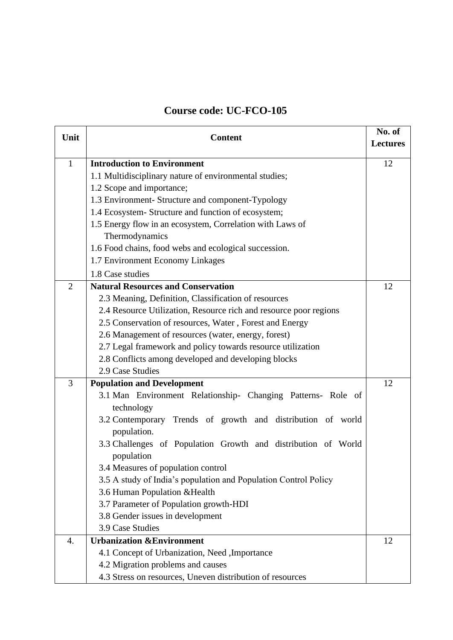### **Course code: UC-FCO-105**

| Unit           | <b>Content</b>                                                              |    |
|----------------|-----------------------------------------------------------------------------|----|
|                |                                                                             |    |
| $\mathbf{1}$   | <b>Introduction to Environment</b>                                          | 12 |
|                | 1.1 Multidisciplinary nature of environmental studies;                      |    |
|                | 1.2 Scope and importance;                                                   |    |
|                | 1.3 Environment- Structure and component-Typology                           |    |
|                | 1.4 Ecosystem- Structure and function of ecosystem;                         |    |
|                | 1.5 Energy flow in an ecosystem, Correlation with Laws of                   |    |
|                | Thermodynamics                                                              |    |
|                | 1.6 Food chains, food webs and ecological succession.                       |    |
|                | 1.7 Environment Economy Linkages                                            |    |
|                | 1.8 Case studies                                                            |    |
| $\overline{2}$ | <b>Natural Resources and Conservation</b>                                   | 12 |
|                | 2.3 Meaning, Definition, Classification of resources                        |    |
|                | 2.4 Resource Utilization, Resource rich and resource poor regions           |    |
|                | 2.5 Conservation of resources, Water, Forest and Energy                     |    |
|                | 2.6 Management of resources (water, energy, forest)                         |    |
|                | 2.7 Legal framework and policy towards resource utilization                 |    |
|                | 2.8 Conflicts among developed and developing blocks                         |    |
|                | 2.9 Case Studies                                                            |    |
| 3              | <b>Population and Development</b>                                           | 12 |
|                | 3.1 Man Environment Relationship- Changing Patterns- Role of                |    |
|                | technology                                                                  |    |
|                | 3.2 Contemporary Trends of growth and distribution of world<br>population.  |    |
|                | 3.3 Challenges of Population Growth and distribution of World<br>population |    |
|                | 3.4 Measures of population control                                          |    |
|                | 3.5 A study of India's population and Population Control Policy             |    |
|                | 3.6 Human Population & Health                                               |    |
|                | 3.7 Parameter of Population growth-HDI                                      |    |
|                | 3.8 Gender issues in development                                            |    |
|                | 3.9 Case Studies                                                            |    |
| 4.             | <b>Urbanization &amp;Environment</b>                                        | 12 |
|                | 4.1 Concept of Urbanization, Need , Importance                              |    |
|                | 4.2 Migration problems and causes                                           |    |
|                | 4.3 Stress on resources, Uneven distribution of resources                   |    |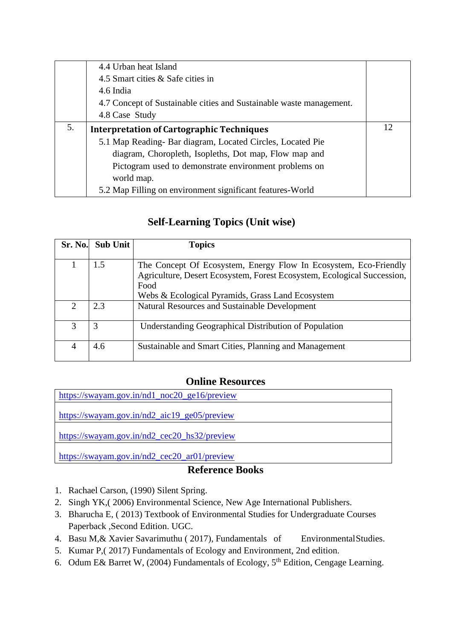|    | 4.4 Urban heat Island                                               |    |
|----|---------------------------------------------------------------------|----|
|    | 4.5 Smart cities & Safe cities in                                   |    |
|    | 4.6 India                                                           |    |
|    | 4.7 Concept of Sustainable cities and Sustainable waste management. |    |
|    | 4.8 Case Study                                                      |    |
| 5. | <b>Interpretation of Cartographic Techniques</b>                    | 12 |
|    | 5.1 Map Reading- Bar diagram, Located Circles, Located Pie          |    |
|    | diagram, Choropleth, Isopleths, Dot map, Flow map and               |    |
|    | Pictogram used to demonstrate environment problems on               |    |
|    | world map.                                                          |    |
|    | 5.2 Map Filling on environment significant features-World           |    |

### **Self-Learning Topics (Unit wise)**

| Sr. No.                     | <b>Sub Unit</b> | <b>Topics</b>                                                                                                                                       |
|-----------------------------|-----------------|-----------------------------------------------------------------------------------------------------------------------------------------------------|
|                             | 1.5             | The Concept Of Ecosystem, Energy Flow In Ecosystem, Eco-Friendly<br>Agriculture, Desert Ecosystem, Forest Ecosystem, Ecological Succession,<br>Food |
|                             |                 | Webs & Ecological Pyramids, Grass Land Ecosystem                                                                                                    |
| $\mathcal{D}_{\mathcal{A}}$ | 2.3             | Natural Resources and Sustainable Development                                                                                                       |
|                             | 3               | <b>Understanding Geographical Distribution of Population</b>                                                                                        |
|                             | 4.6             | Sustainable and Smart Cities, Planning and Management                                                                                               |

#### **Online Resources**

https://swayam.gov.in/nd1\_noc20\_ge16/preview [https://swayam.gov.in/nd2\\_aic19\\_ge05/preview](https://swayam.gov.in/nd2_aic19_ge05/preview) [https://swayam.gov.in/nd2\\_cec20\\_hs32/preview](https://swayam.gov.in/nd2_cec20_hs32/preview) [https://swayam.gov.in/nd2\\_cec20\\_ar01/preview](https://swayam.gov.in/nd2_cec20_ar01/preview)

#### **Reference Books**

- 1. Rachael Carson, (1990) Silent Spring.
- 2. Singh YK,( 2006) Environmental Science, New Age International Publishers.
- 3. Bharucha E, ( 2013) Textbook of Environmental Studies for Undergraduate Courses Paperback ,Second Edition. UGC.
- 4. Basu M,& Xavier Savarimuthu ( 2017), Fundamentals of EnvironmentalStudies.
- 5. Kumar P,( 2017) Fundamentals of Ecology and Environment, 2nd edition.
- 6. Odum E& Barret W, (2004) Fundamentals of Ecology, 5th Edition, Cengage Learning.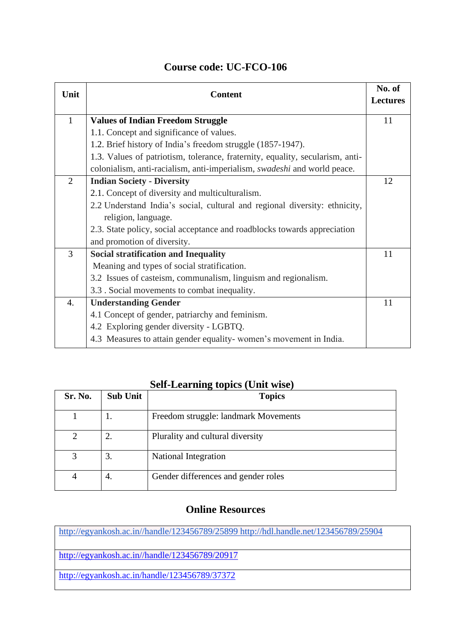| Unit           | <b>Content</b>                                                                | No. of<br><b>Lectures</b> |
|----------------|-------------------------------------------------------------------------------|---------------------------|
| $\mathbf{1}$   | <b>Values of Indian Freedom Struggle</b>                                      | 11                        |
|                | 1.1. Concept and significance of values.                                      |                           |
|                | 1.2. Brief history of India's freedom struggle (1857-1947).                   |                           |
|                | 1.3. Values of patriotism, tolerance, fraternity, equality, secularism, anti- |                           |
|                | colonialism, anti-racialism, anti-imperialism, swadeshi and world peace.      |                           |
| 2              | <b>Indian Society - Diversity</b>                                             | 12                        |
|                | 2.1. Concept of diversity and multiculturalism.                               |                           |
|                | 2.2 Understand India's social, cultural and regional diversity: ethnicity,    |                           |
|                | religion, language.                                                           |                           |
|                | 2.3. State policy, social acceptance and roadblocks towards appreciation      |                           |
|                | and promotion of diversity.                                                   |                           |
| $\overline{3}$ | <b>Social stratification and Inequality</b>                                   | 11                        |
|                | Meaning and types of social stratification.                                   |                           |
|                | 3.2 Issues of casteism, communalism, linguism and regionalism.                |                           |
|                | 3.3 . Social movements to combat inequality.                                  |                           |
| 4.             | <b>Understanding Gender</b>                                                   | 11                        |
|                | 4.1 Concept of gender, patriarchy and feminism.                               |                           |
|                | 4.2 Exploring gender diversity - LGBTQ.                                       |                           |
|                | 4.3 Measures to attain gender equality-women's movement in India.             |                           |

### **Course code: UC-FCO-106**

### **Self-Learning topics (Unit wise)**

| Sr. No. | <b>Sub Unit</b> | <b>Topics</b>                        |
|---------|-----------------|--------------------------------------|
|         | 1.              | Freedom struggle: landmark Movements |
|         |                 | Plurality and cultural diversity     |
| 3       | 3.              | National Integration                 |
|         | 4.              | Gender differences and gender roles  |

#### **Online Resources**

[http://egyankosh.ac.in//handle/123456789/25899](http://egyankosh.ac.in/handle/123456789/25899) <http://hdl.handle.net/123456789/25904>

[http://egyankosh.ac.in//handle/123456789/20917](http://egyankosh.ac.in/handle/123456789/20917)

<http://egyankosh.ac.in/handle/123456789/37372>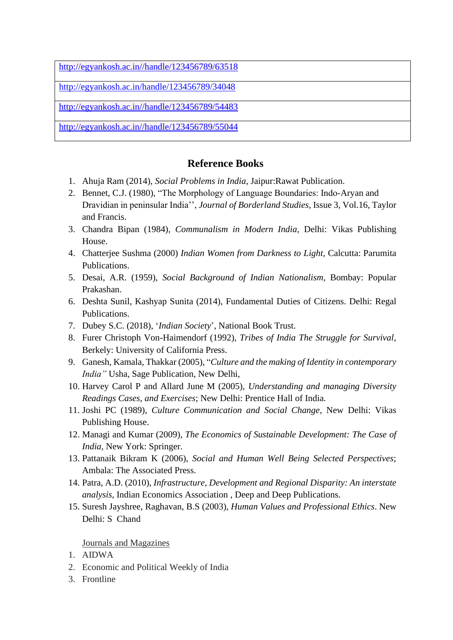[http://egyankosh.ac.in//handle/123456789/63518](http://egyankosh.ac.in/handle/123456789/63518)

<http://egyankosh.ac.in/handle/123456789/34048>

[http://egyankosh.ac.in//handle/123456789/54483](http://egyankosh.ac.in/handle/123456789/54483)

[http://egyankosh.ac.in//handle/123456789/55044](http://egyankosh.ac.in/handle/123456789/55044)

#### **Reference Books**

- 1. Ahuja Ram (2014), *Social Problems in India*, Jaipur:Rawat Publication.
- 2. Bennet, C.J. (1980), "The Morphology of Language Boundaries: Indo-Aryan and Dravidian in peninsular India'', *Journal of Borderland Studies*, Issue 3, Vol.16, Taylor and Francis.
- 3. Chandra Bipan (1984), *Communalism in Modern India*, Delhi: Vikas Publishing House.
- 4. Chatterjee Sushma (2000) *Indian Women from Darkness to Light,* Calcutta: Parumita Publications.
- 5. Desai, A.R. (1959), *Social Background of Indian Nationalism,* Bombay: Popular Prakashan.
- 6. Deshta Sunil, Kashyap Sunita (2014), Fundamental Duties of Citizens. Delhi: Regal Publications.
- 7. Dubey S.C. (2018), '*Indian Society*', National Book Trust.
- 8. Furer Christoph Von-Haimendorf (1992), *Tribes of India The Struggle for Survival*, Berkely: University of California Press.
- 9. Ganesh, Kamala, Thakkar (2005), "*Culture and the making of Identity in contemporary India"* Usha, Sage Publication, New Delhi,
- 10. Harvey Carol P and Allard June M (2005), *Understanding and managing Diversity Readings Cases, and Exercises*; New Delhi: Prentice Hall of India.
- 11. Joshi PC (1989), *Culture Communication and Social Change*, New Delhi: Vikas Publishing House.
- 12. Managi and Kumar (2009), *The Economics of Sustainable Development: The Case of India,* New York: Springer.
- 13. Pattanaik Bikram K (2006), *Social and Human Well Being Selected Perspectives*; Ambala: The Associated Press.
- 14. Patra, A.D. (2010), *Infrastructure, Development and Regional Disparity: An interstate analysis,* Indian Economics Association , Deep and Deep Publications.
- 15. Suresh Jayshree, Raghavan, B.S (2003), *Human Values and Professional Ethics*. New Delhi: S Chand

#### Journals and Magazines

- 1. AIDWA
- 2. Economic and Political Weekly of India
- 3. Frontline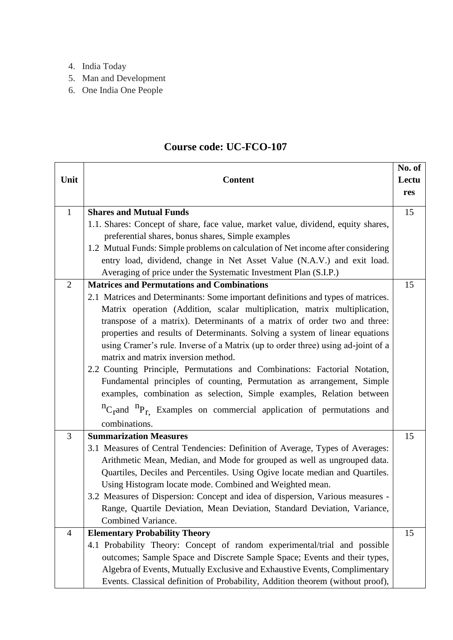- 4. India Today
- 5. Man and Development
- 6. One India One People

### **Course code: UC-FCO-107**

|                |                                                                                          | No. of |
|----------------|------------------------------------------------------------------------------------------|--------|
| Unit           | <b>Content</b>                                                                           | Lectu  |
|                |                                                                                          | res    |
| $\mathbf{1}$   | <b>Shares and Mutual Funds</b>                                                           | 15     |
|                | 1.1. Shares: Concept of share, face value, market value, dividend, equity shares,        |        |
|                | preferential shares, bonus shares, Simple examples                                       |        |
|                | 1.2 Mutual Funds: Simple problems on calculation of Net income after considering         |        |
|                | entry load, dividend, change in Net Asset Value (N.A.V.) and exit load.                  |        |
|                | Averaging of price under the Systematic Investment Plan (S.I.P.)                         |        |
| $\overline{2}$ | <b>Matrices and Permutations and Combinations</b>                                        | 15     |
|                | 2.1 Matrices and Determinants: Some important definitions and types of matrices.         |        |
|                | Matrix operation (Addition, scalar multiplication, matrix multiplication,                |        |
|                | transpose of a matrix). Determinants of a matrix of order two and three:                 |        |
|                | properties and results of Determinants. Solving a system of linear equations             |        |
|                | using Cramer's rule. Inverse of a Matrix (up to order three) using ad-joint of a         |        |
|                | matrix and matrix inversion method.                                                      |        |
|                | 2.2 Counting Principle, Permutations and Combinations: Factorial Notation,               |        |
|                | Fundamental principles of counting, Permutation as arrangement, Simple                   |        |
|                | examples, combination as selection, Simple examples, Relation between                    |        |
|                | ${}^{n}C_{r}$ and ${}^{n}P_{r}$ . Examples on commercial application of permutations and |        |
|                | combinations.                                                                            |        |
| 3              | <b>Summarization Measures</b>                                                            | 15     |
|                | 3.1 Measures of Central Tendencies: Definition of Average, Types of Averages:            |        |
|                | Arithmetic Mean, Median, and Mode for grouped as well as ungrouped data.                 |        |
|                | Quartiles, Deciles and Percentiles. Using Ogive locate median and Quartiles.             |        |
|                | Using Histogram locate mode. Combined and Weighted mean.                                 |        |
|                | 3.2 Measures of Dispersion: Concept and idea of dispersion, Various measures -           |        |
|                | Range, Quartile Deviation, Mean Deviation, Standard Deviation, Variance,                 |        |
|                | Combined Variance.                                                                       |        |
| 4              | <b>Elementary Probability Theory</b>                                                     | 15     |
|                | 4.1 Probability Theory: Concept of random experimental/trial and possible                |        |
|                | outcomes; Sample Space and Discrete Sample Space; Events and their types,                |        |
|                | Algebra of Events, Mutually Exclusive and Exhaustive Events, Complimentary               |        |
|                | Events. Classical definition of Probability, Addition theorem (without proof),           |        |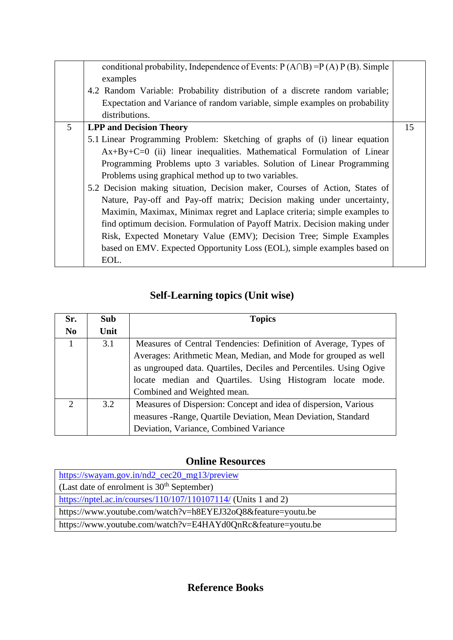|                | conditional probability, Independence of Events: $P(A \cap B) = P(A) P(B)$ . Simple<br>examples<br>4.2 Random Variable: Probability distribution of a discrete random variable;<br>Expectation and Variance of random variable, simple examples on probability<br>distributions. |    |
|----------------|----------------------------------------------------------------------------------------------------------------------------------------------------------------------------------------------------------------------------------------------------------------------------------|----|
| 5 <sup>1</sup> | <b>LPP and Decision Theory</b>                                                                                                                                                                                                                                                   | 15 |
|                | 5.1 Linear Programming Problem: Sketching of graphs of (i) linear equation                                                                                                                                                                                                       |    |
|                | Ax+By+C=0 (ii) linear inequalities. Mathematical Formulation of Linear                                                                                                                                                                                                           |    |
|                | Programming Problems upto 3 variables. Solution of Linear Programming                                                                                                                                                                                                            |    |
|                | Problems using graphical method up to two variables.                                                                                                                                                                                                                             |    |
|                | 5.2 Decision making situation, Decision maker, Courses of Action, States of                                                                                                                                                                                                      |    |
|                | Nature, Pay-off and Pay-off matrix; Decision making under uncertainty,                                                                                                                                                                                                           |    |
|                | Maximin, Maximax, Minimax regret and Laplace criteria; simple examples to                                                                                                                                                                                                        |    |
|                | find optimum decision. Formulation of Payoff Matrix. Decision making under                                                                                                                                                                                                       |    |
|                | Risk, Expected Monetary Value (EMV); Decision Tree; Simple Examples                                                                                                                                                                                                              |    |
|                | based on EMV. Expected Opportunity Loss (EOL), simple examples based on                                                                                                                                                                                                          |    |
|                | EOL.                                                                                                                                                                                                                                                                             |    |

### **Self-Learning topics (Unit wise)**

| Sr.            | <b>Sub</b> | <b>Topics</b>                                                      |  |  |  |  |  |  |
|----------------|------------|--------------------------------------------------------------------|--|--|--|--|--|--|
| N <sub>0</sub> | Unit       |                                                                    |  |  |  |  |  |  |
|                | 3.1        | Measures of Central Tendencies: Definition of Average, Types of    |  |  |  |  |  |  |
|                |            | Averages: Arithmetic Mean, Median, and Mode for grouped as well    |  |  |  |  |  |  |
|                |            | as ungrouped data. Quartiles, Deciles and Percentiles. Using Ogive |  |  |  |  |  |  |
|                |            | locate median and Quartiles. Using Histogram locate mode.          |  |  |  |  |  |  |
|                |            | Combined and Weighted mean.                                        |  |  |  |  |  |  |
| $\mathcal{D}$  | 3.2        | Measures of Dispersion: Concept and idea of dispersion, Various    |  |  |  |  |  |  |
|                |            | measures -Range, Quartile Deviation, Mean Deviation, Standard      |  |  |  |  |  |  |
|                |            | Deviation, Variance, Combined Variance                             |  |  |  |  |  |  |

### **Online Resources**

| https://swayam.gov.in/nd2_cec20_mg13/preview                   |
|----------------------------------------------------------------|
| (Last date of enrolment is $30th$ September)                   |
| https://nptel.ac.in/courses/110/107/110107114/ (Units 1 and 2) |
| https://www.youtube.com/watch?v=h8EYEJ32oQ8&feature=youtu.be   |
| https://www.youtube.com/watch?v=E4HAYd0QnRc&feature=youtu.be   |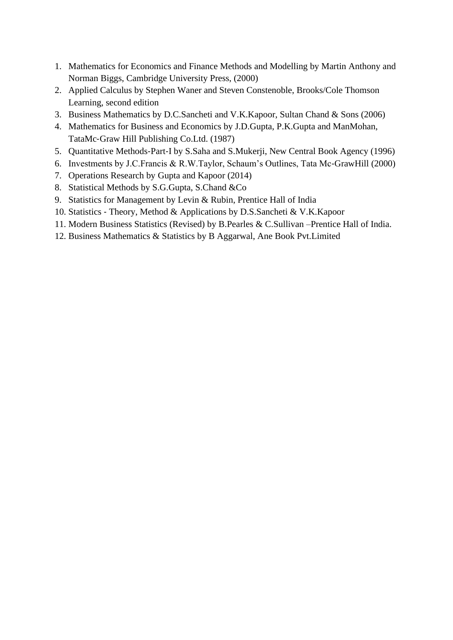- 1. Mathematics for Economics and Finance Methods and Modelling by Martin Anthony and Norman Biggs, Cambridge University Press, (2000)
- 2. Applied Calculus by Stephen Waner and Steven Constenoble, Brooks/Cole Thomson Learning, second edition
- 3. Business Mathematics by D.C.Sancheti and V.K.Kapoor, Sultan Chand & Sons (2006)
- 4. Mathematics for Business and Economics by J.D.Gupta, P.K.Gupta and ManMohan, TataMc‐Graw Hill Publishing Co.Ltd. (1987)
- 5. Quantitative Methods‐Part‐I by S.Saha and S.Mukerji, New Central Book Agency (1996)
- 6. Investments by J.C.Francis & R.W.Taylor, Schaum's Outlines, Tata Mc‐GrawHill (2000)
- 7. Operations Research by Gupta and Kapoor (2014)
- 8. Statistical Methods by S.G.Gupta, S.Chand &Co
- 9. Statistics for Management by Levin & Rubin, Prentice Hall of India
- 10. Statistics Theory, Method & Applications by D.S.Sancheti & V.K.Kapoor
- 11. Modern Business Statistics (Revised) by B.Pearles & C.Sullivan –Prentice Hall of India.
- 12. Business Mathematics & Statistics by B Aggarwal, Ane Book Pvt.Limited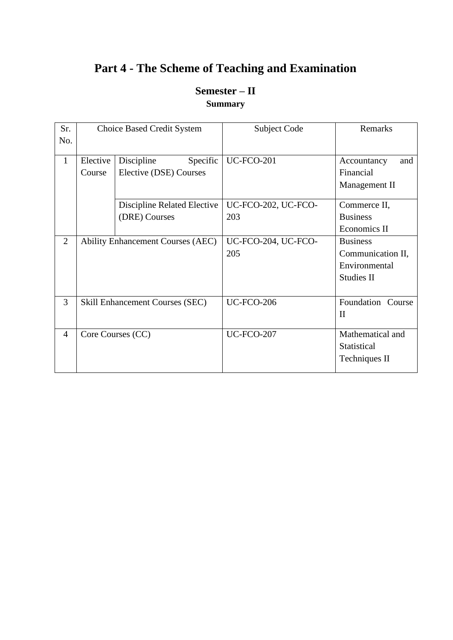### **Part 4 - The Scheme of Teaching and Examination**

### **Semester – II Summary**

| Sr.            |                    | <b>Choice Based Credit System</b>                | Subject Code               | Remarks                                                                    |
|----------------|--------------------|--------------------------------------------------|----------------------------|----------------------------------------------------------------------------|
| No.            |                    |                                                  |                            |                                                                            |
| $\mathbf{1}$   | Elective<br>Course | Discipline<br>Specific<br>Elective (DSE) Courses | <b>UC-FCO-201</b>          | Accountancy<br>and<br>Financial<br>Management II                           |
|                |                    | Discipline Related Elective<br>(DRE) Courses     | UC-FCO-202, UC-FCO-<br>203 | Commerce II,<br><b>Business</b>                                            |
|                |                    |                                                  |                            | Economics II                                                               |
| $\overline{2}$ |                    | <b>Ability Enhancement Courses (AEC)</b>         | UC-FCO-204, UC-FCO-<br>205 | <b>Business</b><br>Communication II,<br>Environmental<br><b>Studies II</b> |
| 3              |                    | <b>Skill Enhancement Courses (SEC)</b>           | <b>UC-FCO-206</b>          | Foundation Course<br>$\mathbf{I}$                                          |
| $\overline{4}$ |                    | Core Courses (CC)                                | <b>UC-FCO-207</b>          | Mathematical and<br>Statistical<br>Techniques II                           |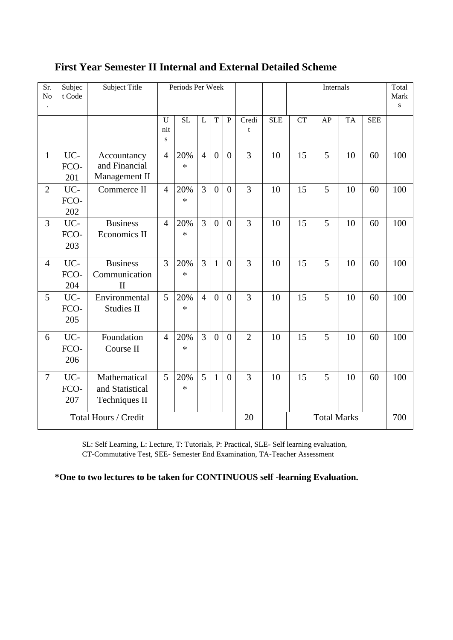| Sr.<br>No      | Subjec<br>t Code     | Subject Title                                    |                | Periods Per Week |                |                  |                |                |            | Internals          |    |           | Total<br>Mark<br>S |     |
|----------------|----------------------|--------------------------------------------------|----------------|------------------|----------------|------------------|----------------|----------------|------------|--------------------|----|-----------|--------------------|-----|
|                |                      |                                                  | U<br>nit<br>S  | <b>SL</b>        | L              | T                | ${\bf P}$      | Credi<br>t     | <b>SLE</b> | <b>CT</b>          | AP | <b>TA</b> | <b>SEE</b>         |     |
| $\mathbf{1}$   | UC-<br>FCO-<br>201   | Accountancy<br>and Financial<br>Management II    | $\overline{4}$ | 20%<br>$\ast$    | $\overline{4}$ | $\boldsymbol{0}$ | $\overline{0}$ | 3              | 10         | 15                 | 5  | 10        | 60                 | 100 |
| $\overline{2}$ | UC-<br>FCO-<br>202   | Commerce II                                      | $\overline{4}$ | 20%<br>$\ast$    | $\overline{3}$ | $\overline{0}$   | $\overline{0}$ | 3              | 10         | 15                 | 5  | 10        | 60                 | 100 |
| 3              | UC-<br>FCO-<br>203   | <b>Business</b><br>Economics II                  | $\overline{4}$ | 20%<br>$\ast$    | $\overline{3}$ | $\overline{0}$   | $\overline{0}$ | 3              | 10         | 15                 | 5  | 10        | 60                 | 100 |
| $\overline{4}$ | UC-<br>FCO-<br>204   | <b>Business</b><br>Communication<br>$\mathbf{I}$ | 3              | 20%<br>$\ast$    | $\overline{3}$ | $\mathbf{1}$     | $\overline{0}$ | 3              | 10         | 15                 | 5  | 10        | 60                 | 100 |
| 5              | UC-<br>FCO-<br>205   | Environmental<br><b>Studies II</b>               | 5              | 20%<br>$\ast$    | $\overline{4}$ | $\theta$         | $\overline{0}$ | 3              | 10         | 15                 | 5  | 10        | 60                 | 100 |
| 6              | UC-<br>FCO-<br>206   | Foundation<br>Course II                          | $\overline{4}$ | 20%<br>$\ast$    | $\overline{3}$ | $\overline{0}$   | $\overline{0}$ | $\overline{2}$ | 10         | 15                 | 5  | 10        | 60                 | 100 |
| $\overline{7}$ | UC-<br>FCO-<br>207   | Mathematical<br>and Statistical<br>Techniques II | 5              | 20%<br>$\ast$    | 5              | $\mathbf{1}$     | $\overline{0}$ | 3              | 10         | 15                 | 5  | 10        | 60                 | 100 |
|                | Total Hours / Credit |                                                  |                |                  |                |                  | 20             |                |            | <b>Total Marks</b> |    |           | 700                |     |

### **First Year Semester II Internal and External Detailed Scheme**

SL: Self Learning, L: Lecture, T: Tutorials, P: Practical, SLE- Self learning evaluation, CT-Commutative Test, SEE- Semester End Examination, TA-Teacher Assessment

**\*One to two lectures to be taken for CONTINUOUS self -learning Evaluation.**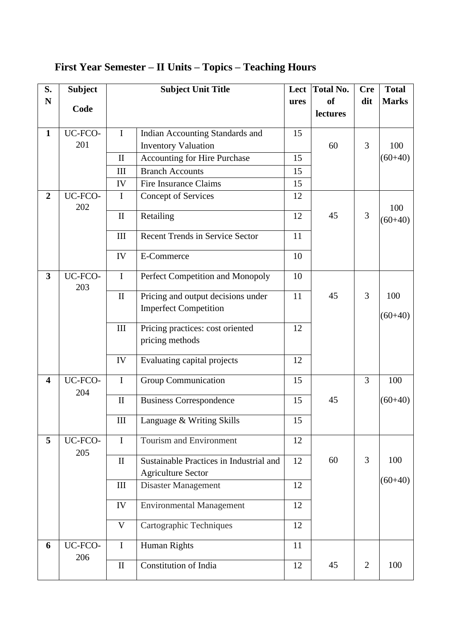| S.                      | <b>Subject</b> |                    | <b>Subject Unit Title</b>               | Lect | <b>Total No.</b> | <b>Cre</b>     | <b>Total</b> |
|-------------------------|----------------|--------------------|-----------------------------------------|------|------------------|----------------|--------------|
| ${\bf N}$               | Code           |                    |                                         | ures | <sub>of</sub>    | dit            | <b>Marks</b> |
|                         |                |                    |                                         |      | lectures         |                |              |
| $\mathbf{1}$            | UC-FCO-        | $\bf{I}$           | Indian Accounting Standards and         | 15   |                  |                |              |
|                         | 201            |                    | <b>Inventory Valuation</b>              |      | 60               | 3              | 100          |
|                         |                | $\mathbf{I}$       | Accounting for Hire Purchase            | 15   |                  |                | $(60+40)$    |
|                         |                | $\rm III$          | <b>Branch Accounts</b>                  | 15   |                  |                |              |
|                         |                | IV                 | <b>Fire Insurance Claims</b>            | 15   |                  |                |              |
| $\overline{2}$          | UC-FCO-<br>202 | I                  | <b>Concept of Services</b>              | 12   |                  |                | 100          |
|                         |                | $\mathbf{I}$       | Retailing                               | 12   | 45               | 3              | $(60+40)$    |
|                         |                | III                | <b>Recent Trends in Service Sector</b>  | 11   |                  |                |              |
|                         |                | IV                 | E-Commerce                              | 10   |                  |                |              |
| $\overline{\mathbf{3}}$ | UC-FCO-<br>203 | $\mathbf I$        | Perfect Competition and Monopoly        | 10   |                  |                |              |
|                         |                | $\mathbf{I}$       | Pricing and output decisions under      | 11   | 45               | $\overline{3}$ | 100          |
|                         |                |                    | <b>Imperfect Competition</b>            |      |                  |                | $(60+40)$    |
|                         |                | III                | Pricing practices: cost oriented        | 12   |                  |                |              |
|                         |                |                    | pricing methods                         |      |                  |                |              |
|                         |                | IV                 | Evaluating capital projects             | 12   |                  |                |              |
| $\overline{\mathbf{4}}$ | UC-FCO-<br>204 | $\mathbf I$        | <b>Group Communication</b>              | 15   |                  | 3              | 100          |
|                         |                | $\mathbf{I}$       | <b>Business Correspondence</b>          | 15   | 45               |                | $(60+40)$    |
|                         |                | $\mathop{\rm III}$ | Language & Writing Skills               | 15   |                  |                |              |
| 5                       | UC-FCO-        | $\mathbf I$        | Tourism and Environment                 | 12   |                  |                |              |
|                         | 205            | $\mathbf{I}$       | Sustainable Practices in Industrial and | 12   | 60               | 3              | 100          |
|                         |                |                    | <b>Agriculture Sector</b>               |      |                  |                |              |
|                         |                | III                | Disaster Management                     | 12   |                  |                | $(60+40)$    |
|                         |                | IV                 | <b>Environmental Management</b>         | 12   |                  |                |              |
|                         |                | V                  | Cartographic Techniques                 | 12   |                  |                |              |
| 6                       | UC-FCO-        | $\mathbf I$        | Human Rights                            | 11   |                  |                |              |
|                         | 206            | $\rm II$           | Constitution of India                   | 12   | 45               | $\overline{2}$ | 100          |

### **First Year Semester – II Units – Topics – Teaching Hours**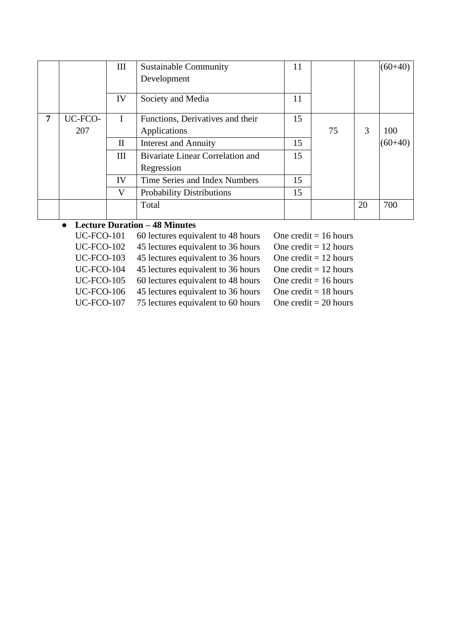|   |         | III          | <b>Sustainable Community</b>            | 11 |    |    | $(60+40)$ |
|---|---------|--------------|-----------------------------------------|----|----|----|-----------|
|   |         |              | Development                             |    |    |    |           |
|   |         | IV           | Society and Media                       | 11 |    |    |           |
| 7 | UC-FCO- | $\mathbf I$  | Functions, Derivatives and their        | 15 |    |    |           |
|   | 207     |              | Applications                            |    | 75 | 3  | 100       |
|   |         | $\mathbf{I}$ | <b>Interest and Annuity</b>             | 15 |    |    | $(60+40)$ |
|   |         | Ш            | <b>Bivariate Linear Correlation and</b> | 15 |    |    |           |
|   |         |              | Regression                              |    |    |    |           |
|   |         | IV           | Time Series and Index Numbers           | 15 |    |    |           |
|   |         | V            | <b>Probability Distributions</b>        | 15 |    |    |           |
|   |         |              | Total                                   |    |    | 20 | 700       |

### ● **Lecture Duration – 48 Minutes**

| <b>UC-FCO-101</b> | 60 lectures equivalent to 48 hours | One credit = $16$ hours |
|-------------------|------------------------------------|-------------------------|
| <b>UC-FCO-102</b> | 45 lectures equivalent to 36 hours | One credit = $12$ hours |
| <b>UC-FCO-103</b> | 45 lectures equivalent to 36 hours | One credit = $12$ hours |
| <b>UC-FCO-104</b> | 45 lectures equivalent to 36 hours | One credit = $12$ hours |
| <b>UC-FCO-105</b> | 60 lectures equivalent to 48 hours | One credit = $16$ hours |
| <b>UC-FCO-106</b> | 45 lectures equivalent to 36 hours | One credit = $18$ hours |
| <b>UC-FCO-107</b> | 75 lectures equivalent to 60 hours | One credit = $20$ hours |
|                   |                                    |                         |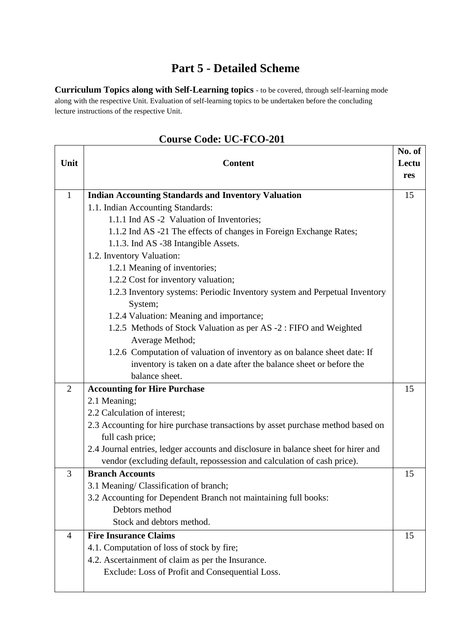### **Part 5 - Detailed Scheme**

**Curriculum Topics along with Self-Learning topics** - to be covered, through self-learning mode along with the respective Unit. Evaluation of self-learning topics to be undertaken before the concluding lecture instructions of the respective Unit.

|                |                                                                                    | No. of |
|----------------|------------------------------------------------------------------------------------|--------|
| Unit           | <b>Content</b>                                                                     | Lectu  |
|                |                                                                                    | res    |
| $\mathbf{1}$   | <b>Indian Accounting Standards and Inventory Valuation</b>                         | 15     |
|                | 1.1. Indian Accounting Standards:                                                  |        |
|                | 1.1.1 Ind AS -2 Valuation of Inventories;                                          |        |
|                | 1.1.2 Ind AS -21 The effects of changes in Foreign Exchange Rates;                 |        |
|                | 1.1.3. Ind AS -38 Intangible Assets.                                               |        |
|                | 1.2. Inventory Valuation:                                                          |        |
|                | 1.2.1 Meaning of inventories;                                                      |        |
|                | 1.2.2 Cost for inventory valuation;                                                |        |
|                | 1.2.3 Inventory systems: Periodic Inventory system and Perpetual Inventory         |        |
|                | System;                                                                            |        |
|                | 1.2.4 Valuation: Meaning and importance;                                           |        |
|                | 1.2.5 Methods of Stock Valuation as per AS -2 : FIFO and Weighted                  |        |
|                | Average Method;                                                                    |        |
|                | 1.2.6 Computation of valuation of inventory as on balance sheet date: If           |        |
|                | inventory is taken on a date after the balance sheet or before the                 |        |
|                | balance sheet.                                                                     |        |
| $\overline{2}$ | <b>Accounting for Hire Purchase</b>                                                | 15     |
|                | 2.1 Meaning;                                                                       |        |
|                | 2.2 Calculation of interest;                                                       |        |
|                | 2.3 Accounting for hire purchase transactions by asset purchase method based on    |        |
|                | full cash price;                                                                   |        |
|                | 2.4 Journal entries, ledger accounts and disclosure in balance sheet for hirer and |        |
|                | vendor (excluding default, repossession and calculation of cash price).            |        |
| 3              | <b>Branch Accounts</b>                                                             | 15     |
|                | 3.1 Meaning/ Classification of branch;                                             |        |
|                | 3.2 Accounting for Dependent Branch not maintaining full books:                    |        |
|                | Debtors method                                                                     |        |
|                | Stock and debtors method.                                                          |        |
| $\overline{4}$ | <b>Fire Insurance Claims</b>                                                       | 15     |
|                | 4.1. Computation of loss of stock by fire;                                         |        |
|                | 4.2. Ascertainment of claim as per the Insurance.                                  |        |
|                | Exclude: Loss of Profit and Consequential Loss.                                    |        |
|                |                                                                                    |        |

### **Course Code: UC-FCO-201**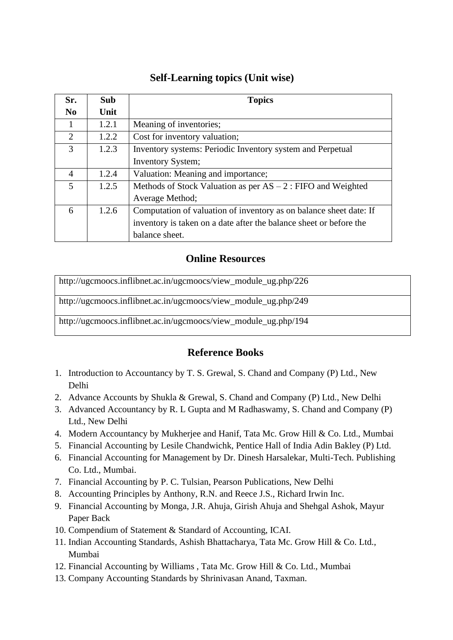#### **Self-Learning topics (Unit wise)**

| Sr.            | <b>Sub</b> | <b>Topics</b>                                                      |
|----------------|------------|--------------------------------------------------------------------|
| $\bf No$       | Unit       |                                                                    |
|                | 1.2.1      | Meaning of inventories;                                            |
| $\overline{2}$ | 1.2.2      | Cost for inventory valuation;                                      |
| 3              | 1.2.3      | Inventory systems: Periodic Inventory system and Perpetual         |
|                |            | <b>Inventory System;</b>                                           |
| $\overline{A}$ | 1.2.4      | Valuation: Meaning and importance;                                 |
| 5              | 1.2.5      | Methods of Stock Valuation as per $AS - 2$ : FIFO and Weighted     |
|                |            | Average Method;                                                    |
| 6              | 1.2.6      | Computation of valuation of inventory as on balance sheet date: If |
|                |            | inventory is taken on a date after the balance sheet or before the |
|                |            | balance sheet.                                                     |

#### **Online Resources**

[http://ugcmoocs.inflibnet.ac.in/ugcmoocs/view\\_module\\_ug.php/226](http://ugcmoocs.inflibnet.ac.in/ugcmoocs/view_module_ug.php/226) [http://ugcmoocs.inflibnet.ac.in/ugcmoocs/view\\_module\\_ug.php/249](http://ugcmoocs.inflibnet.ac.in/ugcmoocs/view_module_ug.php/249) [http://ugcmoocs.inflibnet.ac.in/ugcmoocs/view\\_module\\_ug.php/194](http://ugcmoocs.inflibnet.ac.in/ugcmoocs/view_module_ug.php/194)

### **Reference Books**

- 1. Introduction to Accountancy by T. S. Grewal, S. Chand and Company (P) Ltd., New Delhi
- 2. Advance Accounts by Shukla & Grewal, S. Chand and Company (P) Ltd., New Delhi
- 3. Advanced Accountancy by R. L Gupta and M Radhaswamy, S. Chand and Company (P) Ltd., New Delhi
- 4. Modern Accountancy by Mukherjee and Hanif, Tata Mc. Grow Hill & Co. Ltd., Mumbai
- 5. Financial Accounting by Lesile Chandwichk, Pentice Hall of India Adin Bakley (P) Ltd.
- 6. Financial Accounting for Management by Dr. Dinesh Harsalekar, Multi-Tech. Publishing Co. Ltd., Mumbai.
- 7. Financial Accounting by P. C. Tulsian, Pearson Publications, New Delhi
- 8. Accounting Principles by Anthony, R.N. and Reece J.S., Richard Irwin Inc.
- 9. Financial Accounting by Monga, J.R. Ahuja, Girish Ahuja and Shehgal Ashok, Mayur Paper Back
- 10. Compendium of Statement & Standard of Accounting, ICAI.
- 11. Indian Accounting Standards, Ashish Bhattacharya, Tata Mc. Grow Hill & Co. Ltd., Mumbai
- 12. Financial Accounting by Williams , Tata Mc. Grow Hill & Co. Ltd., Mumbai
- 13. Company Accounting Standards by Shrinivasan Anand, Taxman.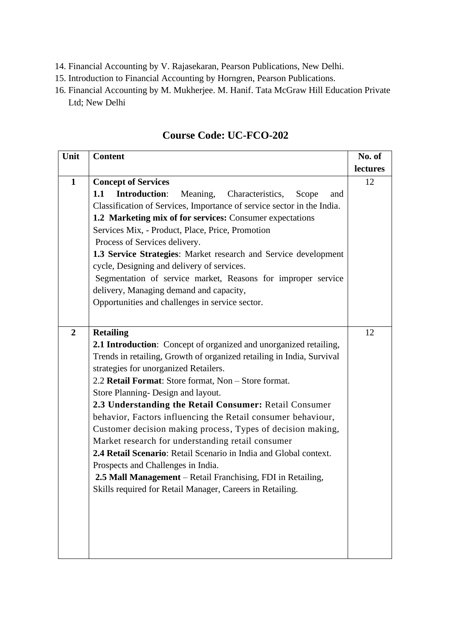- 14. Financial Accounting by V. Rajasekaran, Pearson Publications, New Delhi.
- 15. Introduction to Financial Accounting by Horngren, Pearson Publications.
- 16. Financial Accounting by M. Mukherjee. M. Hanif. Tata McGraw Hill Education Private Ltd; New Delhi

| Unit             | <b>Content</b>                                                           | No. of   |
|------------------|--------------------------------------------------------------------------|----------|
|                  |                                                                          | lectures |
| $\mathbf{1}$     | <b>Concept of Services</b>                                               | 12       |
|                  | <b>Introduction:</b><br>1.1<br>Meaning, Characteristics,<br>Scope<br>and |          |
|                  | Classification of Services, Importance of service sector in the India.   |          |
|                  | 1.2 Marketing mix of for services: Consumer expectations                 |          |
|                  | Services Mix, - Product, Place, Price, Promotion                         |          |
|                  | Process of Services delivery.                                            |          |
|                  | 1.3 Service Strategies: Market research and Service development          |          |
|                  | cycle, Designing and delivery of services.                               |          |
|                  | Segmentation of service market, Reasons for improper service             |          |
|                  | delivery, Managing demand and capacity,                                  |          |
|                  | Opportunities and challenges in service sector.                          |          |
|                  |                                                                          |          |
| $\boldsymbol{2}$ | <b>Retailing</b>                                                         | 12       |
|                  | 2.1 Introduction: Concept of organized and unorganized retailing,        |          |
|                  | Trends in retailing, Growth of organized retailing in India, Survival    |          |
|                  | strategies for unorganized Retailers.                                    |          |
|                  | 2.2 Retail Format: Store format, Non - Store format.                     |          |
|                  | Store Planning- Design and layout.                                       |          |
|                  | 2.3 Understanding the Retail Consumer: Retail Consumer                   |          |
|                  | behavior, Factors influencing the Retail consumer behaviour,             |          |
|                  | Customer decision making process, Types of decision making,              |          |
|                  | Market research for understanding retail consumer                        |          |
|                  | 2.4 Retail Scenario: Retail Scenario in India and Global context.        |          |
|                  | Prospects and Challenges in India.                                       |          |
|                  | 2.5 Mall Management – Retail Franchising, FDI in Retailing,              |          |
|                  | Skills required for Retail Manager, Careers in Retailing.                |          |
|                  |                                                                          |          |
|                  |                                                                          |          |
|                  |                                                                          |          |
|                  |                                                                          |          |
|                  |                                                                          |          |

#### **Course Code: UC-FCO-202**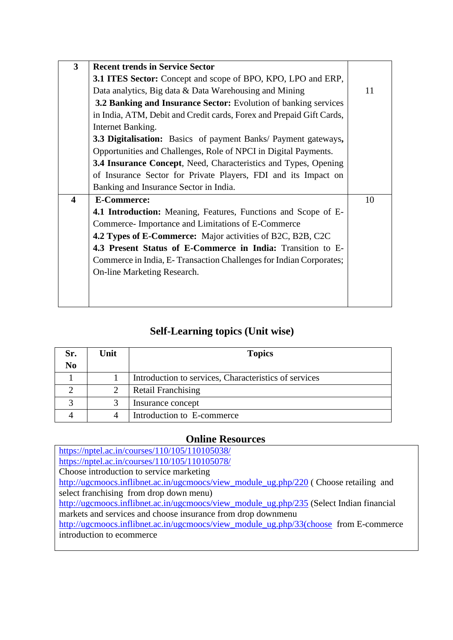| $\overline{\mathbf{3}}$ | <b>Recent trends in Service Sector</b>                                 |    |
|-------------------------|------------------------------------------------------------------------|----|
|                         | 3.1 ITES Sector: Concept and scope of BPO, KPO, LPO and ERP,           |    |
|                         | Data analytics, Big data & Data Warehousing and Mining                 | 11 |
|                         | <b>3.2 Banking and Insurance Sector:</b> Evolution of banking services |    |
|                         | in India, ATM, Debit and Credit cards, Forex and Prepaid Gift Cards,   |    |
|                         | Internet Banking.                                                      |    |
|                         | <b>3.3 Digitalisation:</b> Basics of payment Banks/ Payment gateways,  |    |
|                         | Opportunities and Challenges, Role of NPCI in Digital Payments.        |    |
|                         | <b>3.4 Insurance Concept, Need, Characteristics and Types, Opening</b> |    |
|                         | of Insurance Sector for Private Players, FDI and its Impact on         |    |
|                         | Banking and Insurance Sector in India.                                 |    |
| $\blacktriangleleft$    | <b>E-Commerce:</b>                                                     | 10 |
|                         |                                                                        |    |
|                         | <b>4.1 Introduction:</b> Meaning, Features, Functions and Scope of E-  |    |
|                         | Commerce-Importance and Limitations of E-Commerce                      |    |
|                         | <b>4.2 Types of E-Commerce:</b> Major activities of B2C, B2B, C2C      |    |
|                         | 4.3 Present Status of E-Commerce in India: Transition to E-            |    |
|                         | Commerce in India, E-Transaction Challenges for Indian Corporates;     |    |
|                         | On-line Marketing Research.                                            |    |
|                         |                                                                        |    |
|                         |                                                                        |    |

### **Self-Learning topics (Unit wise)**

| Sr.            | Unit | <b>Topics</b>                                         |
|----------------|------|-------------------------------------------------------|
| N <sub>0</sub> |      |                                                       |
|                |      | Introduction to services, Characteristics of services |
|                |      | <b>Retail Franchising</b>                             |
|                |      | Insurance concept                                     |
|                |      | Introduction to E-commerce                            |

#### **Online Resources**

<https://nptel.ac.in/courses/110/105/110105038/> <https://nptel.ac.in/courses/110/105/110105078/> Choose introduction to service marketing [http://ugcmoocs.inflibnet.ac.in/ugcmoocs/view\\_module\\_ug.php/220](http://ugcmoocs.inflibnet.ac.in/ugcmoocs/view_module_ug.php/220) (Choose retailing and select franchising from drop down menu) [http://ugcmoocs.inflibnet.ac.in/ugcmoocs/view\\_module\\_ug.php/235](http://ugcmoocs.inflibnet.ac.in/ugcmoocs/view_module_ug.php/235) (Select Indian financial markets and services and choose insurance from drop downmenu [http://ugcmoocs.inflibnet.ac.in/ugcmoocs/view\\_module\\_ug.php/33\(choose](http://ugcmoocs.inflibnet.ac.in/ugcmoocs/view_module_ug.php/33(choose) from E-commerce introduction to ecommerce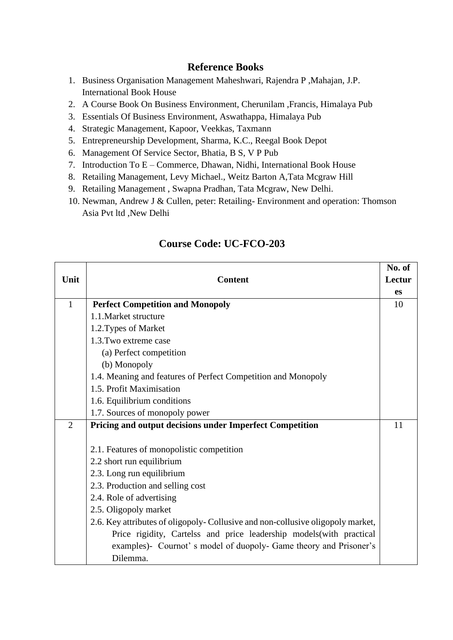#### **Reference Books**

- 1. Business Organisation Management Maheshwari, Rajendra P ,Mahajan, J.P. International Book House
- 2. A Course Book On Business Environment, Cherunilam ,Francis, Himalaya Pub
- 3. Essentials Of Business Environment, Aswathappa, Himalaya Pub
- 4. Strategic Management, Kapoor, Veekkas, Taxmann
- 5. Entrepreneurship Development, Sharma, K.C., Reegal Book Depot
- 6. Management Of Service Sector, Bhatia, B S, V P Pub
- 7. Introduction To E Commerce, Dhawan, Nidhi, International Book House
- 8. Retailing Management, Levy Michael., Weitz Barton A,Tata Mcgraw Hill
- 9. Retailing Management , Swapna Pradhan, Tata Mcgraw, New Delhi.
- 10. Newman, Andrew J & Cullen, peter: Retailing- Environment and operation: Thomson Asia Pvt ltd ,New Delhi

|                |                                                                                | No. of |  |
|----------------|--------------------------------------------------------------------------------|--------|--|
| Unit           | <b>Content</b>                                                                 | Lectur |  |
|                |                                                                                | es     |  |
| $\mathbf{1}$   | <b>Perfect Competition and Monopoly</b>                                        | 10     |  |
|                | 1.1. Market structure                                                          |        |  |
|                | 1.2. Types of Market                                                           |        |  |
|                | 1.3. Two extreme case                                                          |        |  |
|                | (a) Perfect competition                                                        |        |  |
|                | (b) Monopoly                                                                   |        |  |
|                | 1.4. Meaning and features of Perfect Competition and Monopoly                  |        |  |
|                | 1.5. Profit Maximisation                                                       |        |  |
|                | 1.6. Equilibrium conditions                                                    |        |  |
|                | 1.7. Sources of monopoly power                                                 |        |  |
| $\overline{2}$ | <b>Pricing and output decisions under Imperfect Competition</b>                |        |  |
|                |                                                                                |        |  |
|                | 2.1. Features of monopolistic competition                                      |        |  |
|                | 2.2 short run equilibrium                                                      |        |  |
|                | 2.3. Long run equilibrium                                                      |        |  |
|                | 2.3. Production and selling cost                                               |        |  |
|                | 2.4. Role of advertising                                                       |        |  |
|                | 2.5. Oligopoly market                                                          |        |  |
|                | 2.6. Key attributes of oligopoly-Collusive and non-collusive oligopoly market, |        |  |
|                | Price rigidity, Cartelss and price leadership models (with practical           |        |  |
|                | examples)- Cournot's model of duopoly- Game theory and Prisoner's              |        |  |
|                | Dilemma.                                                                       |        |  |

### **Course Code: UC-FCO-203**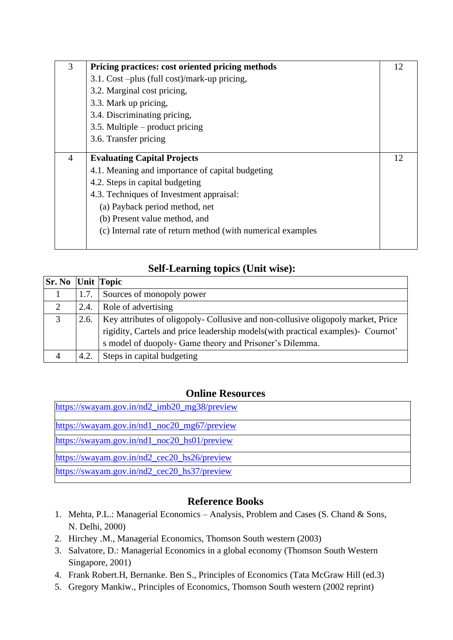| 3              | Pricing practices: cost oriented pricing methods            | 12 |
|----------------|-------------------------------------------------------------|----|
|                | 3.1. Cost –plus (full cost)/mark-up pricing,                |    |
|                | 3.2. Marginal cost pricing,                                 |    |
|                | 3.3. Mark up pricing,                                       |    |
|                | 3.4. Discriminating pricing,                                |    |
|                | $3.5$ . Multiple – product pricing                          |    |
|                | 3.6. Transfer pricing                                       |    |
|                |                                                             |    |
| $\overline{4}$ | <b>Evaluating Capital Projects</b>                          | 12 |
|                | 4.1. Meaning and importance of capital budgeting            |    |
|                | 4.2. Steps in capital budgeting                             |    |
|                | 4.3. Techniques of Investment appraisal:                    |    |
|                | (a) Payback period method, net                              |    |
|                | (b) Present value method, and                               |    |
|                | (c) Internal rate of return method (with numerical examples |    |
|                |                                                             |    |

### **Self-Learning topics (Unit wise):**

| <b>Sr. No Unit Topic</b> |      |                                                                                  |  |
|--------------------------|------|----------------------------------------------------------------------------------|--|
|                          | 1.7. | Sources of monopoly power                                                        |  |
| 2                        | 2.4. | Role of advertising                                                              |  |
| 3                        | 2.6. | Key attributes of oligopoly- Collusive and non-collusive oligopoly market, Price |  |
|                          |      | rigidity, Cartels and price leadership models(with practical examples)- Cournot' |  |
|                          |      | s model of duopoly- Game theory and Prisoner's Dilemma.                          |  |
| $\overline{4}$           | 4.2. | Steps in capital budgeting                                                       |  |

#### **Online Resources**

| https://swayam.gov.in/nd2_imb20_mg38/preview |
|----------------------------------------------|
| https://swayam.gov.in/nd1_noc20_mg67/preview |
| https://swayam.gov.in/nd1_noc20_hs01/preview |
| https://swayam.gov.in/nd2_cec20_hs26/preview |
| https://swayam.gov.in/nd2_cec20_hs37/preview |

#### **Reference Books**

- 1. Mehta, P.L.: Managerial Economics Analysis, Problem and Cases (S. Chand & Sons, N. Delhi, 2000)
- 2. Hirchey .M., Managerial Economics, Thomson South western (2003)
- 3. Salvatore, D.: Managerial Economics in a global economy (Thomson South Western Singapore, 2001)
- 4. Frank Robert.H, Bernanke. Ben S., Principles of Economics (Tata McGraw Hill (ed.3)
- 5. Gregory Mankiw., Principles of Economics, Thomson South western (2002 reprint)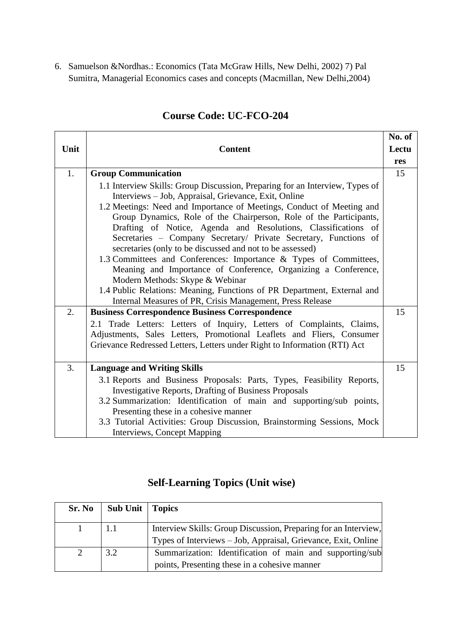6. Samuelson &Nordhas.: Economics (Tata McGraw Hills, New Delhi, 2002) 7) Pal Sumitra, Managerial Economics cases and concepts (Macmillan, New Delhi,2004)

|      |                                                                                                                               | No. of |
|------|-------------------------------------------------------------------------------------------------------------------------------|--------|
| Unit | <b>Content</b>                                                                                                                | Lectu  |
|      |                                                                                                                               | res    |
| 1.   | <b>Group Communication</b>                                                                                                    | 15     |
|      | 1.1 Interview Skills: Group Discussion, Preparing for an Interview, Types of                                                  |        |
|      | Interviews - Job, Appraisal, Grievance, Exit, Online                                                                          |        |
|      | 1.2 Meetings: Need and Importance of Meetings, Conduct of Meeting and                                                         |        |
|      | Group Dynamics, Role of the Chairperson, Role of the Participants,                                                            |        |
|      | Drafting of Notice, Agenda and Resolutions, Classifications of                                                                |        |
|      | Secretaries - Company Secretary/ Private Secretary, Functions of<br>secretaries (only to be discussed and not to be assessed) |        |
|      | 1.3 Committees and Conferences: Importance & Types of Committees,                                                             |        |
|      | Meaning and Importance of Conference, Organizing a Conference,                                                                |        |
|      | Modern Methods: Skype & Webinar                                                                                               |        |
|      | 1.4 Public Relations: Meaning, Functions of PR Department, External and                                                       |        |
|      | Internal Measures of PR, Crisis Management, Press Release                                                                     |        |
| 2.   | <b>Business Correspondence Business Correspondence</b>                                                                        | 15     |
|      | 2.1 Trade Letters: Letters of Inquiry, Letters of Complaints, Claims,                                                         |        |
|      | Adjustments, Sales Letters, Promotional Leaflets and Fliers, Consumer                                                         |        |
|      | Grievance Redressed Letters, Letters under Right to Information (RTI) Act                                                     |        |
|      |                                                                                                                               |        |
| 3.   | <b>Language and Writing Skills</b>                                                                                            | 15     |
|      | 3.1 Reports and Business Proposals: Parts, Types, Feasibility Reports,                                                        |        |
|      | <b>Investigative Reports, Drafting of Business Proposals</b>                                                                  |        |
|      | 3.2 Summarization: Identification of main and supporting/sub points,                                                          |        |
|      | Presenting these in a cohesive manner                                                                                         |        |
|      | 3.3 Tutorial Activities: Group Discussion, Brainstorming Sessions, Mock                                                       |        |
|      | Interviews, Concept Mapping                                                                                                   |        |

### **Course Code: UC-FCO-204**

### **Self-Learning Topics (Unit wise)**

| Sr. No   Sub Unit   Topics |                                                                 |
|----------------------------|-----------------------------------------------------------------|
|                            | Interview Skills: Group Discussion, Preparing for an Interview, |
|                            | Types of Interviews – Job, Appraisal, Grievance, Exit, Online   |
| 3.2                        | Summarization: Identification of main and supporting/sub        |
|                            | points, Presenting these in a cohesive manner                   |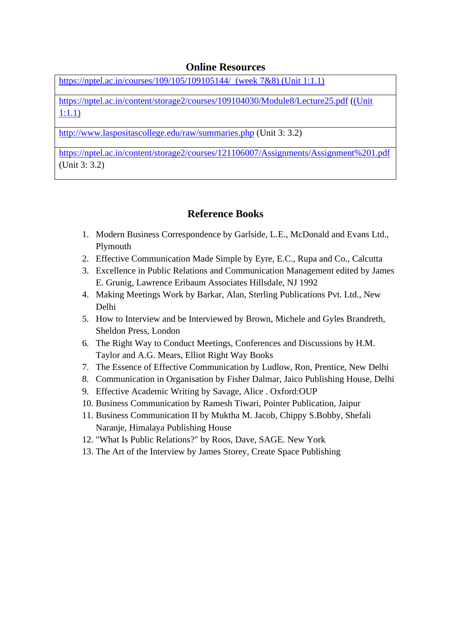#### **Online Resources**

<https://nptel.ac.in/courses/109/105/109105144/>(week 7&8) (Unit 1:1.1)

<https://nptel.ac.in/content/storage2/courses/109104030/Module8/Lecture25.pdf> ((Unit 1:1.1)

<http://www.laspositascollege.edu/raw/summaries.php> (Unit 3: 3.2)

<https://nptel.ac.in/content/storage2/courses/121106007/Assignments/Assignment%201.pdf> (Unit 3: 3.2)

#### **Reference Books**

- 1. Modern Business Correspondence by Garlside, L.E., McDonald and Evans Ltd., Plymouth
- 2. Effective Communication Made Simple by Eyre, E.C., Rupa and Co., Calcutta
- 3. Excellence in Public Relations and Communication Management edited by James E. Grunig, Lawrence Eribaum Associates Hillsdale, NJ 1992
- 4. Making Meetings Work by Barkar, Alan, Sterling Publications Pvt. Ltd., New Delhi
- 5. How to Interview and be Interviewed by Brown, Michele and Gyles Brandreth, Sheldon Press, London
- 6. The Right Way to Conduct Meetings, Conferences and Discussions by H.M. Taylor and A.G. Mears, Elliot Right Way Books
- 7. The Essence of Effective Communication by Ludlow, Ron, Prentice, New Delhi
- 8. Communication in Organisation by Fisher Dalmar, Jaico Publishing House, Delhi
- 9. Effective Academic Writing by Savage, Alice . Oxford:OUP
- 10. Business Communication by Ramesh Tiwari, Pointer Publication, Jaipur
- 11. Business Communication II by Muktha M. Jacob, Chippy S.Bobby, Shefali Naranje, Himalaya Publishing House
- 12. "What Is Public Relations?" by Roos, Dave, SAGE. New York
- 13. The Art of the Interview by James Storey, Create Space Publishing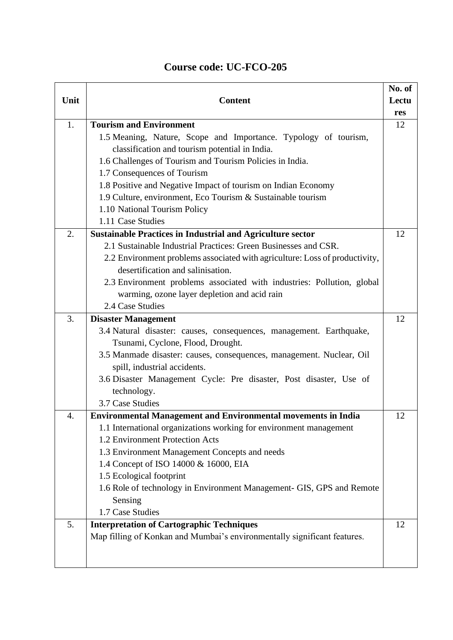|      |                                                                             | No. of |
|------|-----------------------------------------------------------------------------|--------|
| Unit | <b>Content</b>                                                              | Lectu  |
|      |                                                                             | res    |
| 1.   | <b>Tourism and Environment</b>                                              | 12     |
|      | 1.5 Meaning, Nature, Scope and Importance. Typology of tourism,             |        |
|      | classification and tourism potential in India.                              |        |
|      | 1.6 Challenges of Tourism and Tourism Policies in India.                    |        |
|      | 1.7 Consequences of Tourism                                                 |        |
|      | 1.8 Positive and Negative Impact of tourism on Indian Economy               |        |
|      | 1.9 Culture, environment, Eco Tourism & Sustainable tourism                 |        |
|      | 1.10 National Tourism Policy                                                |        |
|      | 1.11 Case Studies                                                           |        |
| 2.   | <b>Sustainable Practices in Industrial and Agriculture sector</b>           | 12     |
|      | 2.1 Sustainable Industrial Practices: Green Businesses and CSR.             |        |
|      | 2.2 Environment problems associated with agriculture: Loss of productivity, |        |
|      | desertification and salinisation.                                           |        |
|      | 2.3 Environment problems associated with industries: Pollution, global      |        |
|      | warming, ozone layer depletion and acid rain                                |        |
|      | 2.4 Case Studies                                                            |        |
| 3.   | <b>Disaster Management</b>                                                  | 12     |
|      | 3.4 Natural disaster: causes, consequences, management. Earthquake,         |        |
|      | Tsunami, Cyclone, Flood, Drought.                                           |        |
|      | 3.5 Manmade disaster: causes, consequences, management. Nuclear, Oil        |        |
|      | spill, industrial accidents.                                                |        |
|      | 3.6 Disaster Management Cycle: Pre disaster, Post disaster, Use of          |        |
|      | technology.                                                                 |        |
|      | 3.7 Case Studies                                                            |        |
| 4.   | <b>Environmental Management and Environmental movements in India</b>        | 12     |
|      | 1.1 International organizations working for environment management          |        |
|      | 1.2 Environment Protection Acts                                             |        |
|      | 1.3 Environment Management Concepts and needs                               |        |
|      | 1.4 Concept of ISO 14000 & 16000, EIA                                       |        |
|      | 1.5 Ecological footprint                                                    |        |
|      | 1.6 Role of technology in Environment Management- GIS, GPS and Remote       |        |
|      | Sensing                                                                     |        |
|      | 1.7 Case Studies                                                            |        |
| 5.   | <b>Interpretation of Cartographic Techniques</b>                            | 12     |
|      | Map filling of Konkan and Mumbai's environmentally significant features.    |        |
|      |                                                                             |        |
|      |                                                                             |        |

### **Course code: UC-FCO-205**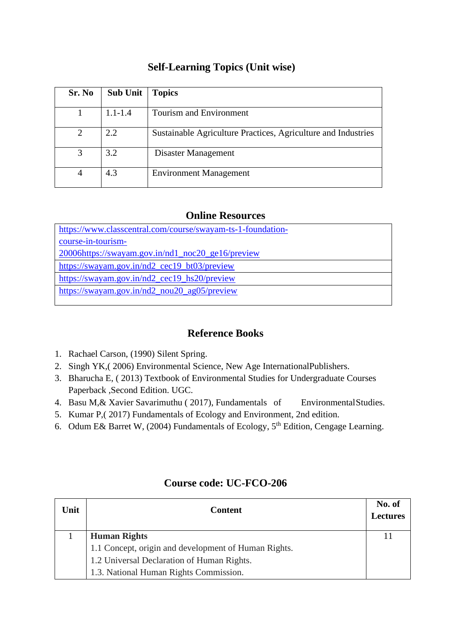### **Self-Learning Topics (Unit wise)**

| Sr. No         | <b>Sub Unit</b> | <b>Topics</b>                                                 |
|----------------|-----------------|---------------------------------------------------------------|
|                | $1.1 - 1.4$     | <b>Tourism and Environment</b>                                |
| 2              | 2.2             | Sustainable Agriculture Practices, Agriculture and Industries |
| 3              | 3.2             | Disaster Management                                           |
| $\overline{4}$ | 4.3             | <b>Environment Management</b>                                 |

#### **Online Resources**

| https://www.classcentral.com/course/swayam-ts-1-foundation- |
|-------------------------------------------------------------|
| course-in-tourism-                                          |
| 20006https://swayam.gov.in/nd1_noc20_ge16/preview           |
| https://swayam.gov.in/nd2_cec19_bt03/preview                |
| https://swayam.gov.in/nd2_cec19_hs20/preview                |
| https://swayam.gov.in/nd2_nou20_ag05/preview                |
|                                                             |

#### **Reference Books**

- 1. Rachael Carson, (1990) Silent Spring.
- 2. Singh YK,( 2006) Environmental Science, New Age InternationalPublishers.
- 3. Bharucha E, ( 2013) Textbook of Environmental Studies for Undergraduate Courses Paperback ,Second Edition. UGC.
- 4. Basu M, & Xavier Savarimuthu (2017), Fundamentals of Environmental Studies.
- 5. Kumar P,( 2017) Fundamentals of Ecology and Environment, 2nd edition.
- 6. Odum E& Barret W, (2004) Fundamentals of Ecology, 5th Edition, Cengage Learning.

#### **Course code: UC-FCO-206**

| Unit | <b>Content</b>                                       | No. of<br><b>Lectures</b> |
|------|------------------------------------------------------|---------------------------|
|      | <b>Human Rights</b>                                  |                           |
|      | 1.1 Concept, origin and development of Human Rights. |                           |
|      | 1.2 Universal Declaration of Human Rights.           |                           |
|      | 1.3. National Human Rights Commission.               |                           |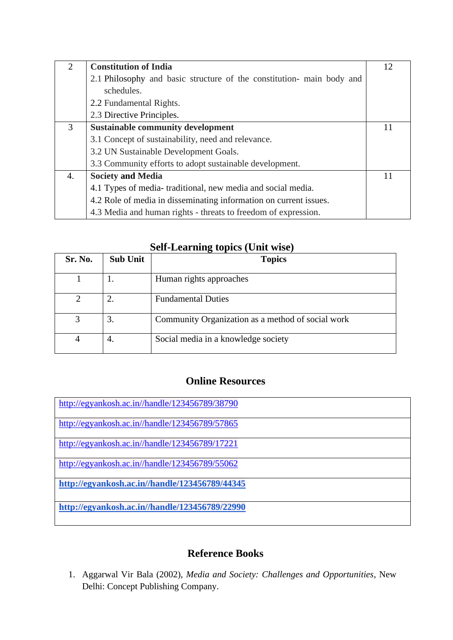| $\overline{2}$ | <b>Constitution of India</b>                                          | 12 |
|----------------|-----------------------------------------------------------------------|----|
|                | 2.1 Philosophy and basic structure of the constitution- main body and |    |
|                | schedules.                                                            |    |
|                | 2.2 Fundamental Rights.                                               |    |
|                | 2.3 Directive Principles.                                             |    |
| 3              | <b>Sustainable community development</b>                              |    |
|                | 3.1 Concept of sustainability, need and relevance.                    |    |
|                | 3.2 UN Sustainable Development Goals.                                 |    |
|                | 3.3 Community efforts to adopt sustainable development.               |    |
| 4.             | <b>Society and Media</b>                                              | 11 |
|                | 4.1 Types of media-traditional, new media and social media.           |    |
|                | 4.2 Role of media in disseminating information on current issues.     |    |
|                | 4.3 Media and human rights - threats to freedom of expression.        |    |

|         |          | <b>Self-Learning topics (Unit wise)</b> |
|---------|----------|-----------------------------------------|
| Sr. No. | Sub Unit | <b>Topics</b>                           |

| <b>Sr. No.</b> | Sub Unit | <b>Topics</b>                                     |
|----------------|----------|---------------------------------------------------|
|                | ı.       | Human rights approaches                           |
|                |          | <b>Fundamental Duties</b>                         |
| 3              | 3.       | Community Organization as a method of social work |
| $\overline{4}$ | 4.       | Social media in a knowledge society               |

### **Online Resources**

| http://egyankosh.ac.in//handle/123456789/38790 |
|------------------------------------------------|
| http://egyankosh.ac.in//handle/123456789/57865 |
| http://egyankosh.ac.in//handle/123456789/17221 |
| http://egyankosh.ac.in//handle/123456789/55062 |
| http://egyankosh.ac.in//handle/123456789/44345 |
| http://egyankosh.ac.in//handle/123456789/22990 |

#### **Reference Books**

1. Aggarwal Vir Bala (2002), *Media and Society: Challenges and Opportunities*, New Delhi: Concept Publishing Company.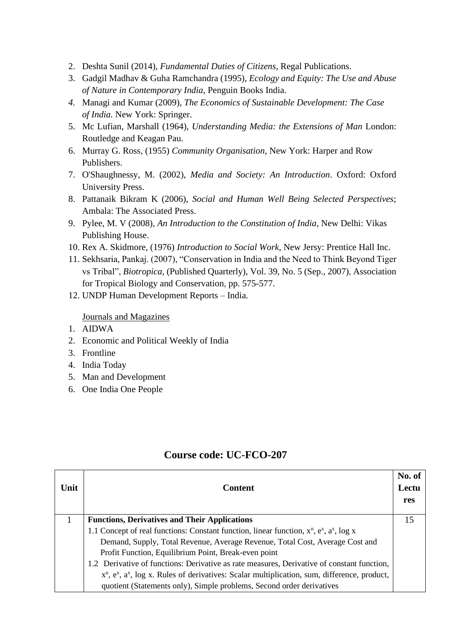- 2. Deshta Sunil (2014), *Fundamental Duties of Citizens*, Regal Publications.
- 3. Gadgil Madhav & Guha Ramchandra (1995), *Ecology and Equity: The Use and Abuse of Nature in Contemporary India*, Penguin Books India.
- *4.* Managi and Kumar (2009), *The Economics of Sustainable Development: The Case of India.* New York: Springer.
- 5. Mc Lufian, Marshall (1964), *Understanding Media: the Extensions of Man* London: Routledge and Keagan Pau.
- 6. Murray G. Ross, (1955) *Community Organisation*, New York: Harper and Row Publishers.
- 7. O'Shaughnessy, M. (2002), *Media and Society: An Introduction*. Oxford: Oxford University Press.
- 8. Pattanaik Bikram K (2006), *Social and Human Well Being Selected Perspectives*; Ambala: The Associated Press.
- 9. Pylee, M. V (2008), *An Introduction to the Constitution of India*, New Delhi: Vikas Publishing House.
- 10. Rex A. Skidmore, (1976) *Introduction to Social Work*, New Jersy: Prentice Hall Inc.
- 11. Sekhsaria, Pankaj. (2007), "Conservation in India and the Need to Think Beyond Tiger vs Tribal", *Biotropica,* [\(Published Quarterly\), Vol. 39, No. 5 \(Sep., 2007\),](https://www.jstor.org/stable/i30045409) Association for Tropical Biology and Conservation, pp. 575-577.
- 12. UNDP Human Development Reports India.

#### Journals and Magazines

- 1. AIDWA
- 2. Economic and Political Weekly of India
- 3. Frontline
- 4. India Today
- 5. Man and Development
- 6. One India One People

| Unit | <b>Content</b>                                                                                        | No. of<br>Lectu<br>res |
|------|-------------------------------------------------------------------------------------------------------|------------------------|
|      | <b>Functions, Derivatives and Their Applications</b>                                                  | 15                     |
|      | 1.1 Concept of real functions: Constant function, linear function, $x^n$ , $e^x$ , $a^x$ , $\log x$   |                        |
|      | Demand, Supply, Total Revenue, Average Revenue, Total Cost, Average Cost and                          |                        |
|      | Profit Function, Equilibrium Point, Break-even point                                                  |                        |
|      | 1.2 Derivative of functions: Derivative as rate measures, Derivative of constant function,            |                        |
|      | $x^n$ , $e^x$ , $a^x$ , log x. Rules of derivatives: Scalar multiplication, sum, difference, product, |                        |
|      | quotient (Statements only), Simple problems, Second order derivatives                                 |                        |

### **Course code: UC-FCO-207**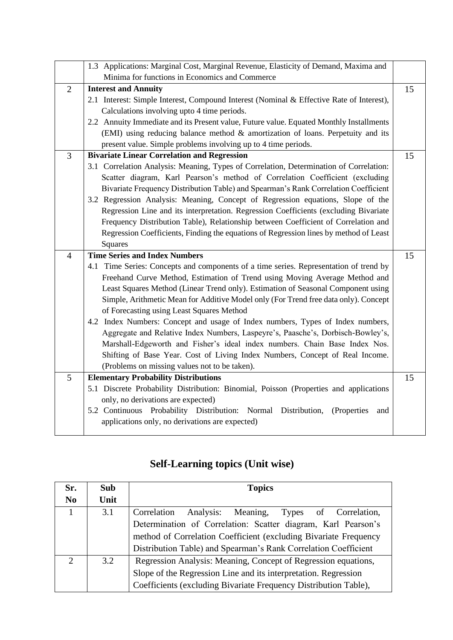|                | 1.3 Applications: Marginal Cost, Marginal Revenue, Elasticity of Demand, Maxima and                                                    |    |
|----------------|----------------------------------------------------------------------------------------------------------------------------------------|----|
|                | Minima for functions in Economics and Commerce                                                                                         |    |
| $\overline{2}$ | <b>Interest and Annuity</b>                                                                                                            | 15 |
|                | 2.1 Interest: Simple Interest, Compound Interest (Nominal & Effective Rate of Interest),                                               |    |
|                |                                                                                                                                        |    |
|                | Calculations involving upto 4 time periods.                                                                                            |    |
|                | 2.2 Annuity Immediate and its Present value, Future value. Equated Monthly Installments                                                |    |
|                | (EMI) using reducing balance method & amortization of loans. Perpetuity and its                                                        |    |
|                | present value. Simple problems involving up to 4 time periods.                                                                         |    |
| $\overline{3}$ | <b>Bivariate Linear Correlation and Regression</b>                                                                                     | 15 |
|                | 3.1 Correlation Analysis: Meaning, Types of Correlation, Determination of Correlation:                                                 |    |
|                | Scatter diagram, Karl Pearson's method of Correlation Coefficient (excluding                                                           |    |
|                | Bivariate Frequency Distribution Table) and Spearman's Rank Correlation Coefficient                                                    |    |
|                | 3.2 Regression Analysis: Meaning, Concept of Regression equations, Slope of the                                                        |    |
|                | Regression Line and its interpretation. Regression Coefficients (excluding Bivariate                                                   |    |
|                | Frequency Distribution Table), Relationship between Coefficient of Correlation and                                                     |    |
|                | Regression Coefficients, Finding the equations of Regression lines by method of Least                                                  |    |
|                | Squares                                                                                                                                |    |
| $\overline{4}$ | <b>Time Series and Index Numbers</b>                                                                                                   | 15 |
|                | 4.1 Time Series: Concepts and components of a time series. Representation of trend by                                                  |    |
|                | Freehand Curve Method, Estimation of Trend using Moving Average Method and                                                             |    |
|                |                                                                                                                                        |    |
|                | Least Squares Method (Linear Trend only). Estimation of Seasonal Component using                                                       |    |
|                | Simple, Arithmetic Mean for Additive Model only (For Trend free data only). Concept                                                    |    |
|                | of Forecasting using Least Squares Method                                                                                              |    |
|                | 4.2 Index Numbers: Concept and usage of Index numbers, Types of Index numbers,                                                         |    |
|                | Aggregate and Relative Index Numbers, Laspeyre's, Paasche's, Dorbisch-Bowley's,                                                        |    |
|                | Marshall-Edgeworth and Fisher's ideal index numbers. Chain Base Index Nos.                                                             |    |
|                |                                                                                                                                        |    |
|                | Shifting of Base Year. Cost of Living Index Numbers, Concept of Real Income.<br>(Problems on missing values not to be taken).          |    |
| 5              |                                                                                                                                        |    |
|                | <b>Elementary Probability Distributions</b>                                                                                            | 15 |
|                | 5.1 Discrete Probability Distribution: Binomial, Poisson (Properties and applications                                                  |    |
|                | only, no derivations are expected)                                                                                                     |    |
|                | 5.2 Continuous Probability Distribution: Normal Distribution,<br>(Properties<br>and<br>applications only, no derivations are expected) |    |

### **Self-Learning topics (Unit wise)**

| Sr.            | <b>Sub</b> | <b>Topics</b>                                                    |
|----------------|------------|------------------------------------------------------------------|
| N <sub>0</sub> | Unit       |                                                                  |
|                | 3.1        | Correlation Analysis: Meaning, Types of Correlation,             |
|                |            | Determination of Correlation: Scatter diagram, Karl Pearson's    |
|                |            | method of Correlation Coefficient (excluding Bivariate Frequency |
|                |            | Distribution Table) and Spearman's Rank Correlation Coefficient  |
| $\mathcal{D}$  | 3.2        | Regression Analysis: Meaning, Concept of Regression equations,   |
|                |            | Slope of the Regression Line and its interpretation. Regression  |
|                |            | Coefficients (excluding Bivariate Frequency Distribution Table), |